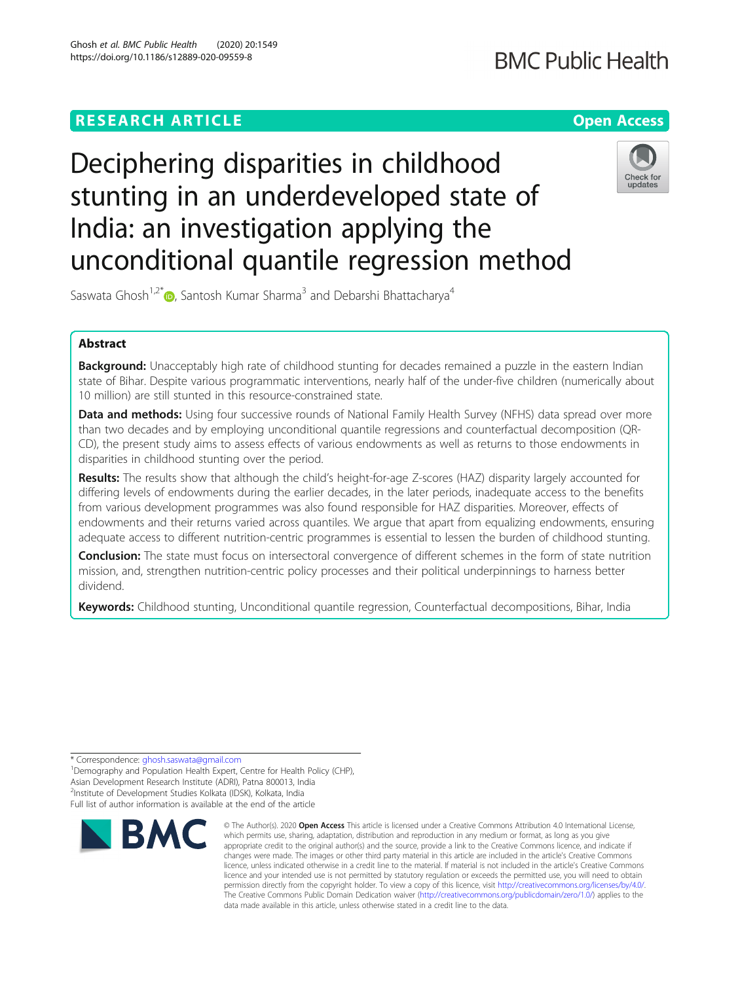Ghosh et al. BMC Public Health (2020) 20:1549 https://doi.org/10.1186/s12889-020-09559-8

# **RESEARCH ARTICLE Example 2014 12:30 The Contract of Contract ACCESS**

# **BMC Public Health**

# Deciphering disparities in childhood stunting in an underdeveloped state of India: an investigation applying the unconditional quantile regression method



Saswata Ghosh<sup>1[,](http://orcid.org/0000-0001-9337-683X)2\*</sup>  $\bullet$ , Santosh Kumar Sharma<sup>3</sup> and Debarshi Bhattacharya<sup>4</sup>

# Abstract

Background: Unacceptably high rate of childhood stunting for decades remained a puzzle in the eastern Indian state of Bihar. Despite various programmatic interventions, nearly half of the under-five children (numerically about 10 million) are still stunted in this resource-constrained state.

**Data and methods:** Using four successive rounds of National Family Health Survey (NFHS) data spread over more than two decades and by employing unconditional quantile regressions and counterfactual decomposition (QR-CD), the present study aims to assess effects of various endowments as well as returns to those endowments in disparities in childhood stunting over the period.

Results: The results show that although the child's height-for-age Z-scores (HAZ) disparity largely accounted for differing levels of endowments during the earlier decades, in the later periods, inadequate access to the benefits from various development programmes was also found responsible for HAZ disparities. Moreover, effects of endowments and their returns varied across quantiles. We argue that apart from equalizing endowments, ensuring adequate access to different nutrition-centric programmes is essential to lessen the burden of childhood stunting.

Conclusion: The state must focus on intersectoral convergence of different schemes in the form of state nutrition mission, and, strengthen nutrition-centric policy processes and their political underpinnings to harness better dividend.

Keywords: Childhood stunting, Unconditional quantile regression, Counterfactual decompositions, Bihar, India

\* Correspondence: [ghosh.saswata@gmail.com](mailto:ghosh.saswata@gmail.com) <sup>1</sup>

<sup>&</sup>lt;sup>1</sup>Demography and Population Health Expert, Centre for Health Policy (CHP), Asian Development Research Institute (ADRI), Patna 800013, India 2 Institute of Development Studies Kolkata (IDSK), Kolkata, India Full list of author information is available at the end of the article



<sup>©</sup> The Author(s), 2020 **Open Access** This article is licensed under a Creative Commons Attribution 4.0 International License, which permits use, sharing, adaptation, distribution and reproduction in any medium or format, as long as you give appropriate credit to the original author(s) and the source, provide a link to the Creative Commons licence, and indicate if changes were made. The images or other third party material in this article are included in the article's Creative Commons licence, unless indicated otherwise in a credit line to the material. If material is not included in the article's Creative Commons licence and your intended use is not permitted by statutory regulation or exceeds the permitted use, you will need to obtain permission directly from the copyright holder. To view a copy of this licence, visit [http://creativecommons.org/licenses/by/4.0/.](http://creativecommons.org/licenses/by/4.0/) The Creative Commons Public Domain Dedication waiver [\(http://creativecommons.org/publicdomain/zero/1.0/](http://creativecommons.org/publicdomain/zero/1.0/)) applies to the data made available in this article, unless otherwise stated in a credit line to the data.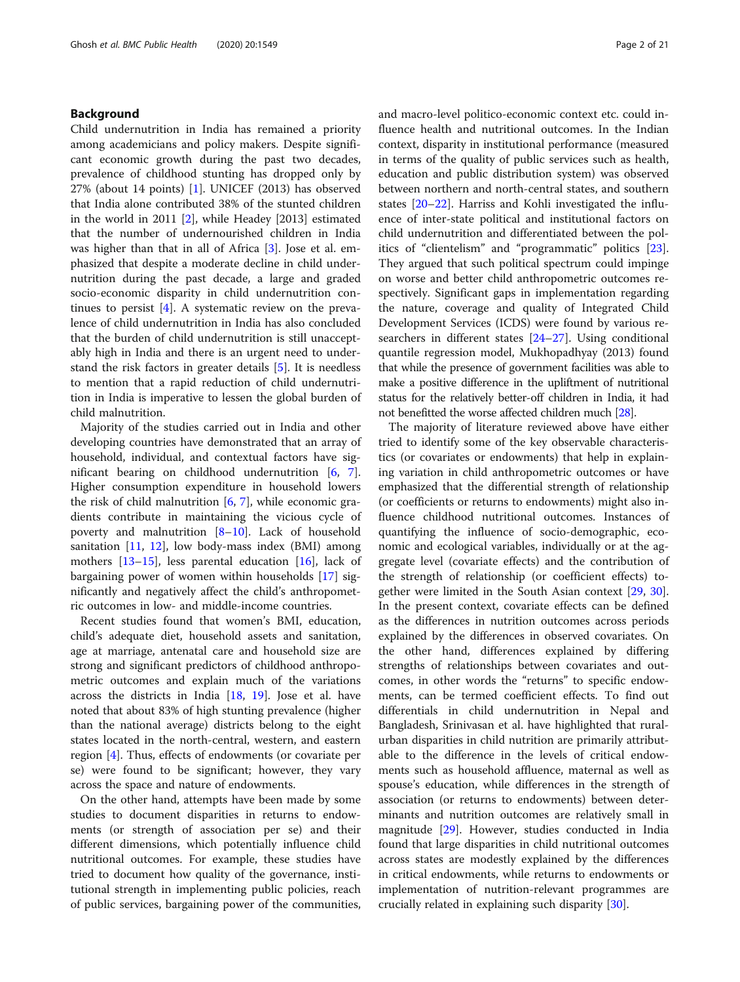# Background

Child undernutrition in India has remained a priority among academicians and policy makers. Despite significant economic growth during the past two decades, prevalence of childhood stunting has dropped only by 27% (about 14 points) [\[1](#page-19-0)]. UNICEF (2013) has observed that India alone contributed 38% of the stunted children in the world in 2011 [\[2](#page-19-0)], while Headey [2013] estimated that the number of undernourished children in India was higher than that in all of Africa [[3\]](#page-19-0). Jose et al. emphasized that despite a moderate decline in child undernutrition during the past decade, a large and graded socio-economic disparity in child undernutrition continues to persist  $[4]$  $[4]$ . A systematic review on the prevalence of child undernutrition in India has also concluded that the burden of child undernutrition is still unacceptably high in India and there is an urgent need to understand the risk factors in greater details [\[5](#page-19-0)]. It is needless to mention that a rapid reduction of child undernutrition in India is imperative to lessen the global burden of child malnutrition.

Majority of the studies carried out in India and other developing countries have demonstrated that an array of household, individual, and contextual factors have significant bearing on childhood undernutrition [[6](#page-19-0), [7](#page-19-0)]. Higher consumption expenditure in household lowers the risk of child malnutrition [[6,](#page-19-0) [7](#page-19-0)], while economic gradients contribute in maintaining the vicious cycle of poverty and malnutrition [\[8](#page-19-0)–[10\]](#page-19-0). Lack of household sanitation  $[11, 12]$  $[11, 12]$  $[11, 12]$  $[11, 12]$ , low body-mass index (BMI) among mothers [[13](#page-20-0)–[15](#page-20-0)], less parental education [[16\]](#page-20-0), lack of bargaining power of women within households [\[17](#page-20-0)] significantly and negatively affect the child's anthropometric outcomes in low- and middle-income countries.

Recent studies found that women's BMI, education, child's adequate diet, household assets and sanitation, age at marriage, antenatal care and household size are strong and significant predictors of childhood anthropometric outcomes and explain much of the variations across the districts in India [\[18](#page-20-0), [19](#page-20-0)]. Jose et al. have noted that about 83% of high stunting prevalence (higher than the national average) districts belong to the eight states located in the north-central, western, and eastern region [[4\]](#page-19-0). Thus, effects of endowments (or covariate per se) were found to be significant; however, they vary across the space and nature of endowments.

On the other hand, attempts have been made by some studies to document disparities in returns to endowments (or strength of association per se) and their different dimensions, which potentially influence child nutritional outcomes. For example, these studies have tried to document how quality of the governance, institutional strength in implementing public policies, reach of public services, bargaining power of the communities,

and macro-level politico-economic context etc. could influence health and nutritional outcomes. In the Indian context, disparity in institutional performance (measured in terms of the quality of public services such as health, education and public distribution system) was observed between northern and north-central states, and southern states [\[20](#page-20-0)–[22](#page-20-0)]. Harriss and Kohli investigated the influence of inter-state political and institutional factors on child undernutrition and differentiated between the politics of "clientelism" and "programmatic" politics [\[23](#page-20-0)]. They argued that such political spectrum could impinge on worse and better child anthropometric outcomes respectively. Significant gaps in implementation regarding the nature, coverage and quality of Integrated Child Development Services (ICDS) were found by various researchers in different states [\[24](#page-20-0)–[27\]](#page-20-0). Using conditional quantile regression model, Mukhopadhyay (2013) found that while the presence of government facilities was able to make a positive difference in the upliftment of nutritional status for the relatively better-off children in India, it had not benefitted the worse affected children much [\[28](#page-20-0)].

The majority of literature reviewed above have either tried to identify some of the key observable characteristics (or covariates or endowments) that help in explaining variation in child anthropometric outcomes or have emphasized that the differential strength of relationship (or coefficients or returns to endowments) might also influence childhood nutritional outcomes. Instances of quantifying the influence of socio-demographic, economic and ecological variables, individually or at the aggregate level (covariate effects) and the contribution of the strength of relationship (or coefficient effects) to-gether were limited in the South Asian context [[29,](#page-20-0) [30](#page-20-0)]. In the present context, covariate effects can be defined as the differences in nutrition outcomes across periods explained by the differences in observed covariates. On the other hand, differences explained by differing strengths of relationships between covariates and outcomes, in other words the "returns" to specific endowments, can be termed coefficient effects. To find out differentials in child undernutrition in Nepal and Bangladesh, Srinivasan et al. have highlighted that ruralurban disparities in child nutrition are primarily attributable to the difference in the levels of critical endowments such as household affluence, maternal as well as spouse's education, while differences in the strength of association (or returns to endowments) between determinants and nutrition outcomes are relatively small in magnitude [[29\]](#page-20-0). However, studies conducted in India found that large disparities in child nutritional outcomes across states are modestly explained by the differences in critical endowments, while returns to endowments or implementation of nutrition-relevant programmes are crucially related in explaining such disparity [\[30](#page-20-0)].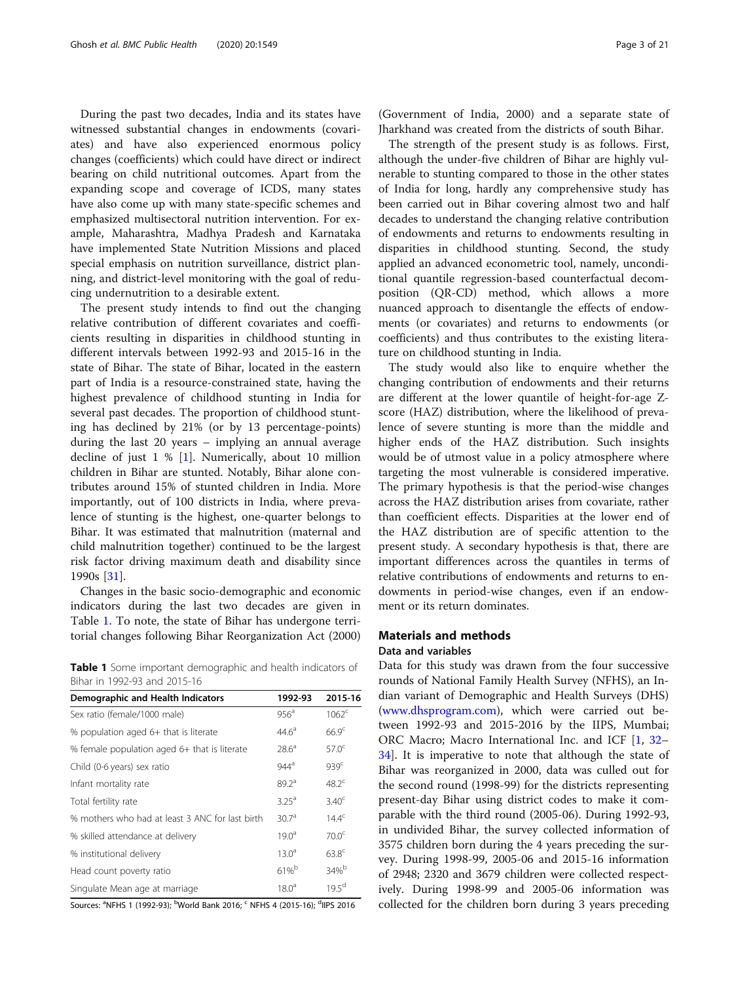During the past two decades, India and its states have witnessed substantial changes in endowments (covariates) and have also experienced enormous policy changes (coefficients) which could have direct or indirect bearing on child nutritional outcomes. Apart from the expanding scope and coverage of ICDS, many states have also come up with many state-specific schemes and emphasized multisectoral nutrition intervention. For example, Maharashtra, Madhya Pradesh and Karnataka have implemented State Nutrition Missions and placed special emphasis on nutrition surveillance, district planning, and district-level monitoring with the goal of reducing undernutrition to a desirable extent.

The present study intends to find out the changing relative contribution of different covariates and coefficients resulting in disparities in childhood stunting in different intervals between 1992-93 and 2015-16 in the state of Bihar. The state of Bihar, located in the eastern part of India is a resource-constrained state, having the highest prevalence of childhood stunting in India for several past decades. The proportion of childhood stunting has declined by 21% (or by 13 percentage-points) during the last 20 years – implying an annual average decline of just 1 % [\[1](#page-19-0)]. Numerically, about 10 million children in Bihar are stunted. Notably, Bihar alone contributes around 15% of stunted children in India. More importantly, out of 100 districts in India, where prevalence of stunting is the highest, one-quarter belongs to Bihar. It was estimated that malnutrition (maternal and child malnutrition together) continued to be the largest risk factor driving maximum death and disability since 1990s [\[31](#page-20-0)].

Changes in the basic socio-demographic and economic indicators during the last two decades are given in Table 1. To note, the state of Bihar has undergone territorial changes following Bihar Reorganization Act (2000)

Table 1 Some important demographic and health indicators of Bihar in 1992-93 and 2015-16

| Demographic and Health Indicators               | 1992-93           | 2015-16           |
|-------------------------------------------------|-------------------|-------------------|
| Sex ratio (female/1000 male)                    | $956^{\circ}$     | 1062 <sup>c</sup> |
| % population aged 6+ that is literate           | $44.6^{\circ}$    | $66.9^{\circ}$    |
| % female population aged 6+ that is literate    | $28.6^{\circ}$    | $57.0^{\circ}$    |
| Child (0-6 years) sex ratio                     | $944^{\circ}$     | 939 <sup>c</sup>  |
| Infant mortality rate                           | 89.2 <sup>a</sup> | $48.2^{\circ}$    |
| Total fertility rate                            | 3.25 <sup>a</sup> | 3.40 <sup>c</sup> |
| % mothers who had at least 3 ANC for last birth | 30.7 <sup>a</sup> | $14.4^{\circ}$    |
| % skilled attendance at delivery                | $19.0^{\circ}$    | $70.0^{\circ}$    |
| % institutional delivery                        | $13.0^{\circ}$    | $63.8^{\circ}$    |
| Head count poverty ratio                        | 61%b              | 34%b              |
| Singulate Mean age at marriage                  | $18.0^{\circ}$    | $195^d$           |

Sources: <sup>a</sup>NFHS 1 (1992-93); <sup>b</sup>World Bank 2016; <sup>c</sup> NFHS 4 (2015-16); <sup>d</sup>IIPS 2016

(Government of India, 2000) and a separate state of Jharkhand was created from the districts of south Bihar.

The strength of the present study is as follows. First, although the under-five children of Bihar are highly vulnerable to stunting compared to those in the other states of India for long, hardly any comprehensive study has been carried out in Bihar covering almost two and half decades to understand the changing relative contribution of endowments and returns to endowments resulting in disparities in childhood stunting. Second, the study applied an advanced econometric tool, namely, unconditional quantile regression-based counterfactual decomposition (QR-CD) method, which allows a more nuanced approach to disentangle the effects of endowments (or covariates) and returns to endowments (or coefficients) and thus contributes to the existing literature on childhood stunting in India.

The study would also like to enquire whether the changing contribution of endowments and their returns are different at the lower quantile of height-for-age Zscore (HAZ) distribution, where the likelihood of prevalence of severe stunting is more than the middle and higher ends of the HAZ distribution. Such insights would be of utmost value in a policy atmosphere where targeting the most vulnerable is considered imperative. The primary hypothesis is that the period-wise changes across the HAZ distribution arises from covariate, rather than coefficient effects. Disparities at the lower end of the HAZ distribution are of specific attention to the present study. A secondary hypothesis is that, there are important differences across the quantiles in terms of relative contributions of endowments and returns to endowments in period-wise changes, even if an endowment or its return dominates.

# Materials and methods

# Data and variables

Data for this study was drawn from the four successive rounds of National Family Health Survey (NFHS), an Indian variant of Demographic and Health Surveys (DHS) ([www.dhsprogram.com\)](http://www.dhsprogram.com), which were carried out between 1992-93 and 2015-2016 by the IIPS, Mumbai; ORC Macro; Macro International Inc. and ICF [[1](#page-19-0), [32](#page-20-0)– [34\]](#page-20-0). It is imperative to note that although the state of Bihar was reorganized in 2000, data was culled out for the second round (1998-99) for the districts representing present-day Bihar using district codes to make it comparable with the third round (2005-06). During 1992-93, in undivided Bihar, the survey collected information of 3575 children born during the 4 years preceding the survey. During 1998-99, 2005-06 and 2015-16 information of 2948; 2320 and 3679 children were collected respectively. During 1998-99 and 2005-06 information was collected for the children born during 3 years preceding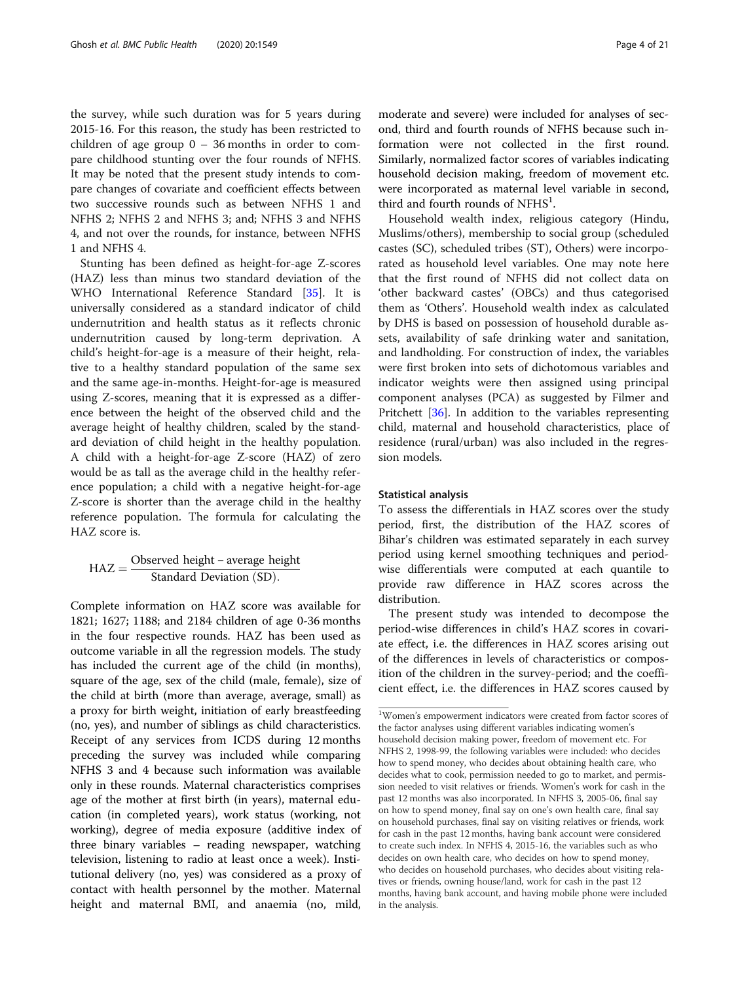the survey, while such duration was for 5 years during 2015-16. For this reason, the study has been restricted to children of age group  $0 - 36$  months in order to compare childhood stunting over the four rounds of NFHS. It may be noted that the present study intends to compare changes of covariate and coefficient effects between two successive rounds such as between NFHS 1 and NFHS 2; NFHS 2 and NFHS 3; and; NFHS 3 and NFHS 4, and not over the rounds, for instance, between NFHS 1 and NFHS 4.

Stunting has been defined as height-for-age Z-scores (HAZ) less than minus two standard deviation of the WHO International Reference Standard [[35](#page-20-0)]. It is universally considered as a standard indicator of child undernutrition and health status as it reflects chronic undernutrition caused by long-term deprivation. A child's height-for-age is a measure of their height, relative to a healthy standard population of the same sex and the same age-in-months. Height-for-age is measured using Z-scores, meaning that it is expressed as a difference between the height of the observed child and the average height of healthy children, scaled by the standard deviation of child height in the healthy population. A child with a height-for-age Z-score (HAZ) of zero would be as tall as the average child in the healthy reference population; a child with a negative height-for-age Z-score is shorter than the average child in the healthy reference population. The formula for calculating the HAZ score is.

$$
HAZ = \frac{Observed height - average height}{Standard Deviation (SD).
$$

Complete information on HAZ score was available for 1821; 1627; 1188; and 2184 children of age 0-36 months in the four respective rounds. HAZ has been used as outcome variable in all the regression models. The study has included the current age of the child (in months), square of the age, sex of the child (male, female), size of the child at birth (more than average, average, small) as a proxy for birth weight, initiation of early breastfeeding (no, yes), and number of siblings as child characteristics. Receipt of any services from ICDS during 12 months preceding the survey was included while comparing NFHS 3 and 4 because such information was available only in these rounds. Maternal characteristics comprises age of the mother at first birth (in years), maternal education (in completed years), work status (working, not working), degree of media exposure (additive index of three binary variables – reading newspaper, watching television, listening to radio at least once a week). Institutional delivery (no, yes) was considered as a proxy of contact with health personnel by the mother. Maternal height and maternal BMI, and anaemia (no, mild,

moderate and severe) were included for analyses of second, third and fourth rounds of NFHS because such information were not collected in the first round. Similarly, normalized factor scores of variables indicating household decision making, freedom of movement etc. were incorporated as maternal level variable in second, third and fourth rounds of NFHS<sup>1</sup>.

Household wealth index, religious category (Hindu, Muslims/others), membership to social group (scheduled castes (SC), scheduled tribes (ST), Others) were incorporated as household level variables. One may note here that the first round of NFHS did not collect data on 'other backward castes' (OBCs) and thus categorised them as 'Others'. Household wealth index as calculated by DHS is based on possession of household durable assets, availability of safe drinking water and sanitation, and landholding. For construction of index, the variables were first broken into sets of dichotomous variables and indicator weights were then assigned using principal component analyses (PCA) as suggested by Filmer and Pritchett [[36](#page-20-0)]. In addition to the variables representing child, maternal and household characteristics, place of residence (rural/urban) was also included in the regression models.

# Statistical analysis

To assess the differentials in HAZ scores over the study period, first, the distribution of the HAZ scores of Bihar's children was estimated separately in each survey period using kernel smoothing techniques and periodwise differentials were computed at each quantile to provide raw difference in HAZ scores across the distribution.

The present study was intended to decompose the period-wise differences in child's HAZ scores in covariate effect, i.e. the differences in HAZ scores arising out of the differences in levels of characteristics or composition of the children in the survey-period; and the coefficient effect, i.e. the differences in HAZ scores caused by

<sup>&</sup>lt;sup>1</sup>Women's empowerment indicators were created from factor scores of the factor analyses using different variables indicating women's household decision making power, freedom of movement etc. For NFHS 2, 1998-99, the following variables were included: who decides how to spend money, who decides about obtaining health care, who decides what to cook, permission needed to go to market, and permission needed to visit relatives or friends. Women's work for cash in the past 12 months was also incorporated. In NFHS 3, 2005-06, final say on how to spend money, final say on one's own health care, final say on household purchases, final say on visiting relatives or friends, work for cash in the past 12 months, having bank account were considered to create such index. In NFHS 4, 2015-16, the variables such as who decides on own health care, who decides on how to spend money, who decides on household purchases, who decides about visiting relatives or friends, owning house/land, work for cash in the past 12 months, having bank account, and having mobile phone were included in the analysis.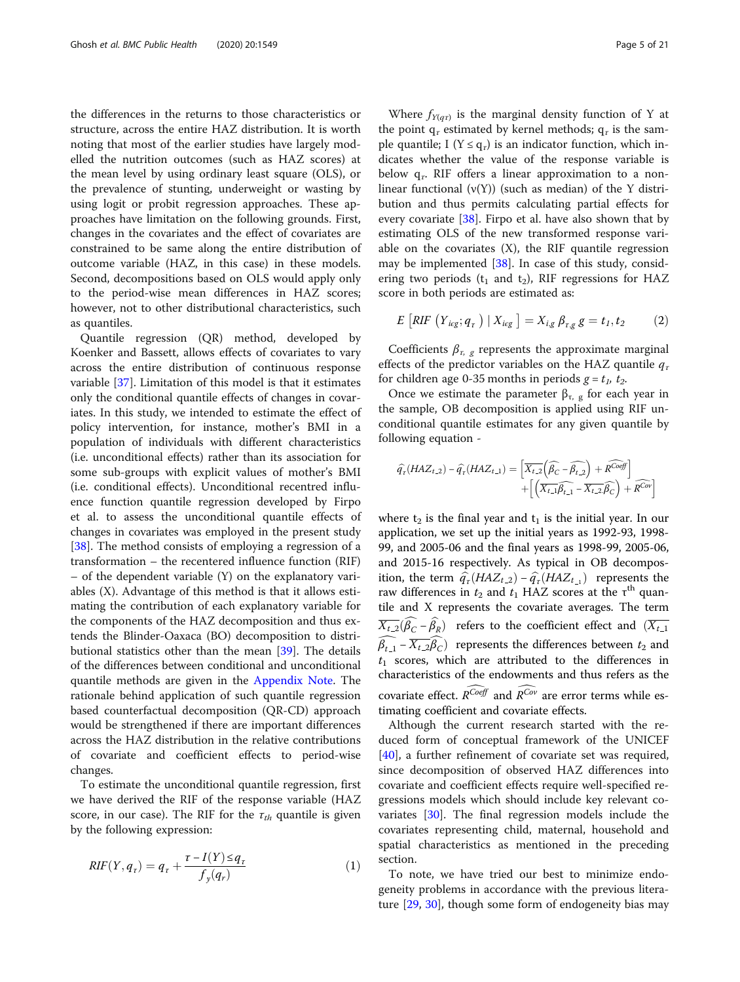the differences in the returns to those characteristics or structure, across the entire HAZ distribution. It is worth noting that most of the earlier studies have largely modelled the nutrition outcomes (such as HAZ scores) at the mean level by using ordinary least square (OLS), or the prevalence of stunting, underweight or wasting by using logit or probit regression approaches. These approaches have limitation on the following grounds. First, changes in the covariates and the effect of covariates are constrained to be same along the entire distribution of outcome variable (HAZ, in this case) in these models. Second, decompositions based on OLS would apply only to the period-wise mean differences in HAZ scores; however, not to other distributional characteristics, such as quantiles.

Quantile regression (QR) method, developed by Koenker and Bassett, allows effects of covariates to vary across the entire distribution of continuous response variable [\[37](#page-20-0)]. Limitation of this model is that it estimates only the conditional quantile effects of changes in covariates. In this study, we intended to estimate the effect of policy intervention, for instance, mother's BMI in a population of individuals with different characteristics (i.e. unconditional effects) rather than its association for some sub-groups with explicit values of mother's BMI (i.e. conditional effects). Unconditional recentred influence function quantile regression developed by Firpo et al. to assess the unconditional quantile effects of changes in covariates was employed in the present study [[38\]](#page-20-0). The method consists of employing a regression of a transformation – the recentered influence function (RIF) – of the dependent variable (Y) on the explanatory variables (X). Advantage of this method is that it allows estimating the contribution of each explanatory variable for the components of the HAZ decomposition and thus extends the Blinder-Oaxaca (BO) decomposition to distributional statistics other than the mean [[39\]](#page-20-0). The details of the differences between conditional and unconditional quantile methods are given in the [Appendix Note](#page-14-0). The rationale behind application of such quantile regression based counterfactual decomposition (QR-CD) approach would be strengthened if there are important differences across the HAZ distribution in the relative contributions of covariate and coefficient effects to period-wise changes.

To estimate the unconditional quantile regression, first we have derived the RIF of the response variable (HAZ score, in our case). The RIF for the  $\tau_{th}$  quantile is given by the following expression:

$$
RIF(Y, q\tau) = q\tau + \frac{\tau - I(Y) \le q_{\tau}}{f_{y}(q_{\tau})}
$$
\n(1)

Where  $f_{Y(\sigma\tau)}$  is the marginal density function of Y at the point  $q<sub>r</sub>$  estimated by kernel methods;  $q<sub>r</sub>$  is the sample quantile; I ( $Y \leq q_{\tau}$ ) is an indicator function, which indicates whether the value of the response variable is below  $q_r$ . RIF offers a linear approximation to a nonlinear functional  $(v(Y))$  (such as median) of the Y distribution and thus permits calculating partial effects for every covariate [\[38](#page-20-0)]. Firpo et al. have also shown that by estimating OLS of the new transformed response variable on the covariates (X), the RIF quantile regression may be implemented [[38\]](#page-20-0). In case of this study, considering two periods ( $t_1$  and  $t_2$ ), RIF regressions for HAZ score in both periods are estimated as:

$$
E\left[RIF\left(Y_{i\epsilon g};q_{\tau}\right) \mid X_{i\epsilon g}\right] = X_{i g} \beta_{\tau, g} g = t_1, t_2 \tag{2}
$$

Coefficients  $\beta_{\tau, \sigma}$  represents the approximate marginal effects of the predictor variables on the HAZ quantile  $q<sub>r</sub>$ for children age 0-35 months in periods  $g = t<sub>1</sub>, t<sub>2</sub>$ .

Once we estimate the parameter  $β_{τ, g}$  for each year in the sample, OB decomposition is applied using RIF unconditional quantile estimates for any given quantile by following equation -

$$
\widehat{q}_{\tau}(HAZ_{t,2}) - \widehat{q}_{\tau}(HAZ_{t,1}) = \left[ \overline{X_{t,2}(\widehat{\beta_C} - \widehat{\beta_{t,2}})} + \widehat{R^{Coeff}} \right] + \left[ \left( \overline{X_{t,1}\widehat{\beta_{t,1}}} - \overline{X_{t,2}\widehat{\beta_C}} \right) + \widehat{R^{Cov}} \right]
$$

where  $t_2$  is the final year and  $t_1$  is the initial year. In our application, we set up the initial years as 1992-93, 1998- 99, and 2005-06 and the final years as 1998-99, 2005-06, and 2015-16 respectively. As typical in OB decomposition, the term  $\hat{q}_{\tau}$ (HAZ<sub>t 2</sub>) –  $\hat{q}_{\tau}$ (HAZ<sub>t 1</sub>) represents the raw differences in  $t_2$  and  $t_1$  HAZ scores at the  $\tau$ <sup>th</sup> quantile and X represents the covariate averages. The term  $\overline{X_{t,2}(\widehat{\beta}_C} - \widehat{\beta}_R)$  refers to the coefficient effect and  $(\overline{X_{t,1}})$  $\widehat{\beta_{t-1}}$  –  $\widehat{\overline{X_{t-2}}\beta_C}$  represents the differences between  $t_2$  and  $t_1$  scores, which are attributed to the differences in characteristics of the endowments and thus refers as the covariate effect.  $\widehat{R^{Coeff}}$  and  $\widehat{R^{Cov}}$  are error terms while estimating coefficient and covariate effects.

Although the current research started with the reduced form of conceptual framework of the UNICEF [[40\]](#page-20-0), a further refinement of covariate set was required, since decomposition of observed HAZ differences into covariate and coefficient effects require well-specified regressions models which should include key relevant covariates [\[30\]](#page-20-0). The final regression models include the covariates representing child, maternal, household and spatial characteristics as mentioned in the preceding section.

To note, we have tried our best to minimize endogeneity problems in accordance with the previous literature [\[29](#page-20-0), [30](#page-20-0)], though some form of endogeneity bias may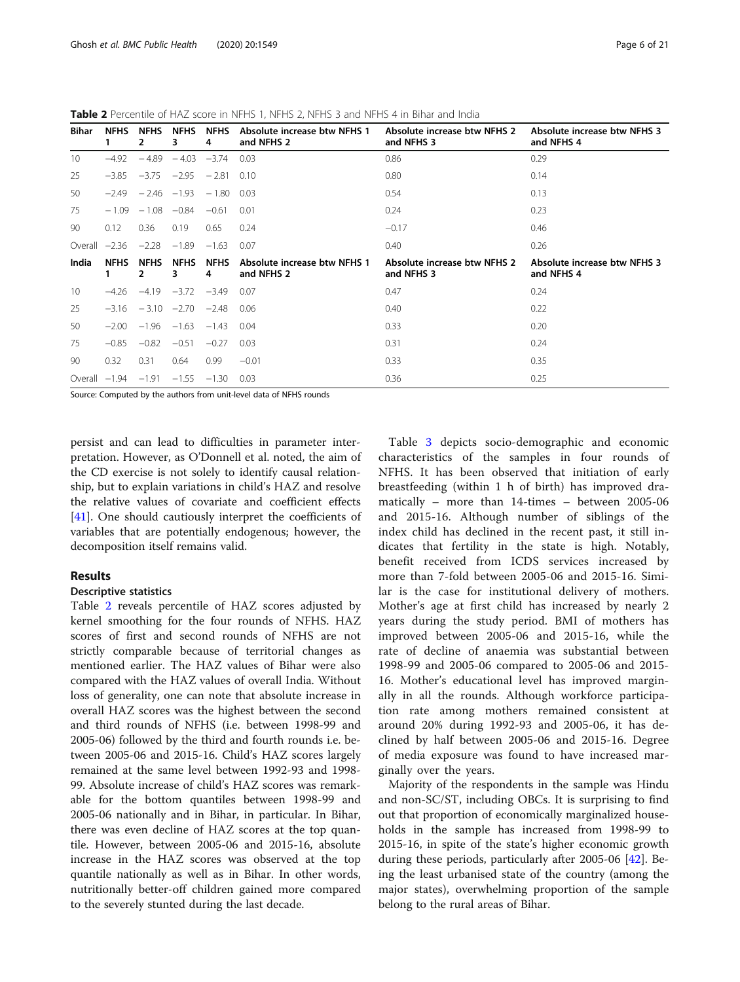| Page 6 of 21 |  |  |
|--------------|--|--|
|              |  |  |

Table 2 Percentile of HAZ score in NFHS 1, NFHS 2, NFHS 3 and NFHS 4 in Bihar and India

| <b>Bihar</b>    | <b>NFHS</b>      | <b>NFHS</b><br>$\overline{2}$ | <b>NFHS</b><br>3                | <b>NFHS</b><br>4 | Absolute increase btw NFHS 1<br>and NFHS 2 | Absolute increase btw NFHS 2<br>and NFHS 3 | Absolute increase btw NFHS 3<br>and NFHS 4 |
|-----------------|------------------|-------------------------------|---------------------------------|------------------|--------------------------------------------|--------------------------------------------|--------------------------------------------|
| 10              | $-4.92$          |                               | $-4.89 - 4.03 -3.74$            |                  | 0.03                                       | 0.86                                       | 0.29                                       |
| 25              | $-3.85$          |                               | $-3.75$ $-2.95$ $-2.81$         |                  | 010                                        | 0.80                                       | 0.14                                       |
| 50              | $-2.49$          |                               | $-2.46$ $-1.93$ $-1.80$ 0.03    |                  |                                            | 0.54                                       | 0.13                                       |
| 75              | $-1.09$          | $-1.08$                       | $-0.84$                         | $-0.61$          | 0.01                                       | 0.24                                       | 0.23                                       |
| 90              | 0.12             | 0.36                          | 0.19                            | 0.65             | 0.24                                       | $-0.17$                                    | 0.46                                       |
| Overall $-2.36$ |                  | $-2.28$                       | $-1.89$                         | $-1.63$          | 0.07                                       | 0.40                                       | 0.26                                       |
| India           | <b>NFHS</b><br>1 | <b>NFHS</b><br>2              | <b>NFHS</b><br>3                | <b>NFHS</b><br>4 | Absolute increase btw NFHS 1<br>and NFHS 2 | Absolute increase btw NFHS 2<br>and NFHS 3 | Absolute increase btw NFHS 3<br>and NFHS 4 |
| 10              |                  |                               | $-4.26$ $-4.19$ $-3.72$ $-3.49$ |                  | -0.07                                      | 0.47                                       | 0.24                                       |
| 25              |                  |                               | $-3.16$ $-3.10$ $-2.70$ $-2.48$ |                  | 0.06                                       | 0.40                                       | 0.22                                       |
| 50              | $-2.00$          |                               | $-1.96 -1.63$                   | $-1.43$          | 0.04                                       | 0.33                                       | 0.20                                       |
| 75              | $-0.85$          | $-0.82 -0.51$                 |                                 | $-0.27$          | 0.03                                       | 0.31                                       | 0.24                                       |
| 90              | 0.32             | 0.31                          | 0.64                            | 0.99             | $-0.01$                                    | 0.33                                       | 0.35                                       |
|                 |                  | Overall -1.94 -1.91           | $-1.55$                         | $-1.30$          | 0.03                                       | 0.36                                       | 0.25                                       |

Source: Computed by the authors from unit-level data of NFHS rounds

persist and can lead to difficulties in parameter interpretation. However, as O'Donnell et al. noted, the aim of the CD exercise is not solely to identify causal relationship, but to explain variations in child's HAZ and resolve the relative values of covariate and coefficient effects [[41\]](#page-20-0). One should cautiously interpret the coefficients of variables that are potentially endogenous; however, the decomposition itself remains valid.

# Results

# Descriptive statistics

Table 2 reveals percentile of HAZ scores adjusted by kernel smoothing for the four rounds of NFHS. HAZ scores of first and second rounds of NFHS are not strictly comparable because of territorial changes as mentioned earlier. The HAZ values of Bihar were also compared with the HAZ values of overall India. Without loss of generality, one can note that absolute increase in overall HAZ scores was the highest between the second and third rounds of NFHS (i.e. between 1998-99 and 2005-06) followed by the third and fourth rounds i.e. between 2005-06 and 2015-16. Child's HAZ scores largely remained at the same level between 1992-93 and 1998- 99. Absolute increase of child's HAZ scores was remarkable for the bottom quantiles between 1998-99 and 2005-06 nationally and in Bihar, in particular. In Bihar, there was even decline of HAZ scores at the top quantile. However, between 2005-06 and 2015-16, absolute increase in the HAZ scores was observed at the top quantile nationally as well as in Bihar. In other words, nutritionally better-off children gained more compared to the severely stunted during the last decade.

Table [3](#page-6-0) depicts socio-demographic and economic characteristics of the samples in four rounds of NFHS. It has been observed that initiation of early breastfeeding (within 1 h of birth) has improved dramatically – more than 14-times – between 2005-06 and 2015-16. Although number of siblings of the index child has declined in the recent past, it still indicates that fertility in the state is high. Notably, benefit received from ICDS services increased by more than 7-fold between 2005-06 and 2015-16. Similar is the case for institutional delivery of mothers. Mother's age at first child has increased by nearly 2 years during the study period. BMI of mothers has improved between 2005-06 and 2015-16, while the rate of decline of anaemia was substantial between 1998-99 and 2005-06 compared to 2005-06 and 2015- 16. Mother's educational level has improved marginally in all the rounds. Although workforce participation rate among mothers remained consistent at around 20% during 1992-93 and 2005-06, it has declined by half between 2005-06 and 2015-16. Degree of media exposure was found to have increased marginally over the years.

Majority of the respondents in the sample was Hindu and non-SC/ST, including OBCs. It is surprising to find out that proportion of economically marginalized households in the sample has increased from 1998-99 to 2015-16, in spite of the state's higher economic growth during these periods, particularly after 2005-06 [\[42](#page-20-0)]. Being the least urbanised state of the country (among the major states), overwhelming proportion of the sample belong to the rural areas of Bihar.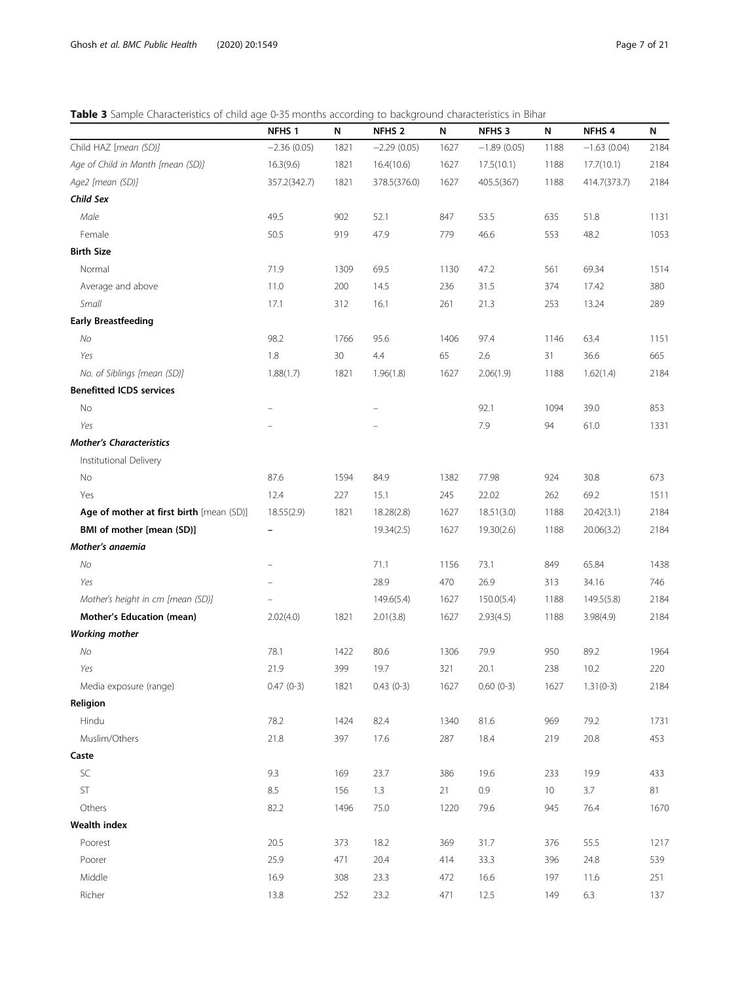<span id="page-6-0"></span>Table 3 Sample Characteristics of child age 0-35 months according to background characteristics in Bihar

|                                          | NFHS <sub>1</sub> | ${\sf N}$ | NFHS <sub>2</sub> | N    | NFHS <sub>3</sub> | N               | NFHS <sub>4</sub> | N    |
|------------------------------------------|-------------------|-----------|-------------------|------|-------------------|-----------------|-------------------|------|
| Child HAZ [mean (SD)]                    | $-2.36(0.05)$     | 1821      | $-2.29(0.05)$     | 1627 | $-1.89(0.05)$     | 1188            | $-1.63(0.04)$     | 2184 |
| Age of Child in Month [mean (SD)]        | 16.3(9.6)         | 1821      | 16.4(10.6)        | 1627 | 17.5(10.1)        | 1188            | 17.7(10.1)        | 2184 |
| Age2 [mean (SD)]                         | 357.2(342.7)      | 1821      | 378.5(376.0)      | 1627 | 405.5(367)        | 1188            | 414.7(373.7)      | 2184 |
| Child Sex                                |                   |           |                   |      |                   |                 |                   |      |
| Male                                     | 49.5              | 902       | 52.1              | 847  | 53.5              | 635             | 51.8              | 1131 |
| Female                                   | 50.5              | 919       | 47.9              | 779  | 46.6              | 553             | 48.2              | 1053 |
| <b>Birth Size</b>                        |                   |           |                   |      |                   |                 |                   |      |
| Normal                                   | 71.9              | 1309      | 69.5              | 1130 | 47.2              | 561             | 69.34             | 1514 |
| Average and above                        | 11.0              | 200       | 14.5              | 236  | 31.5              | 374             | 17.42             | 380  |
| Small                                    | 17.1              | 312       | 16.1              | 261  | 21.3              | 253             | 13.24             | 289  |
| <b>Early Breastfeeding</b>               |                   |           |                   |      |                   |                 |                   |      |
| N <sub>O</sub>                           | 98.2              | 1766      | 95.6              | 1406 | 97.4              | 1146            | 63.4              | 1151 |
| Yes                                      | 1.8               | $30\,$    | 4.4               | 65   | 2.6               | 31              | 36.6              | 665  |
| No. of Siblings [mean (SD)]              | 1.88(1.7)         | 1821      | 1.96(1.8)         | 1627 | 2.06(1.9)         | 1188            | 1.62(1.4)         | 2184 |
| <b>Benefitted ICDS services</b>          |                   |           |                   |      |                   |                 |                   |      |
| No                                       |                   |           |                   |      | 92.1              | 1094            | 39.0              | 853  |
| Yes                                      |                   |           |                   |      | 7.9               | 94              | 61.0              | 1331 |
| <b>Mother's Characteristics</b>          |                   |           |                   |      |                   |                 |                   |      |
| Institutional Delivery                   |                   |           |                   |      |                   |                 |                   |      |
| No                                       | 87.6              | 1594      | 84.9              | 1382 | 77.98             | 924             | 30.8              | 673  |
| Yes                                      | 12.4              | 227       | 15.1              | 245  | 22.02             | 262             | 69.2              | 1511 |
| Age of mother at first birth [mean (SD)] | 18.55(2.9)        | 1821      | 18.28(2.8)        | 1627 | 18.51(3.0)        | 1188            | 20.42(3.1)        | 2184 |
| BMI of mother [mean (SD)]                | $\qquad \qquad -$ |           | 19.34(2.5)        | 1627 | 19.30(2.6)        | 1188            | 20.06(3.2)        | 2184 |
| Mother's anaemia                         |                   |           |                   |      |                   |                 |                   |      |
| No                                       | $\equiv$          |           | 71.1              | 1156 | 73.1              | 849             | 65.84             | 1438 |
| Yes                                      |                   |           | 28.9              | 470  | 26.9              | 313             | 34.16             | 746  |
| Mother's height in cm [mean (SD)]        |                   |           | 149.6(5.4)        | 1627 | 150.0(5.4)        | 1188            | 149.5(5.8)        | 2184 |
| Mother's Education (mean)                | 2.02(4.0)         | 1821      | 2.01(3.8)         | 1627 | 2.93(4.5)         | 1188            | 3.98(4.9)         | 2184 |
| <b>Working mother</b>                    |                   |           |                   |      |                   |                 |                   |      |
| N <sub>O</sub>                           | 78.1              | 1422      | 80.6              | 1306 | 79.9              | 950             | 89.2              | 1964 |
| Yes                                      | 21.9              | 399       | 19.7              | 321  | 20.1              | 238             | 10.2              | 220  |
| Media exposure (range)                   | $0.47(0-3)$       | 1821      | $0.43(0-3)$       | 1627 | $0.60(0-3)$       | 1627            | $1.31(0-3)$       | 2184 |
| Religion                                 |                   |           |                   |      |                   |                 |                   |      |
| Hindu                                    | 78.2              | 1424      | 82.4              | 1340 | 81.6              | 969             | 79.2              | 1731 |
| Muslim/Others                            | 21.8              | 397       | 17.6              | 287  | 18.4              | 219             | 20.8              | 453  |
| Caste                                    |                   |           |                   |      |                   |                 |                   |      |
| SC                                       | 9.3               | 169       | 23.7              | 386  | 19.6              | 233             | 19.9              | 433  |
| ST                                       | 8.5               | 156       | 1.3               | 21   | 0.9               | 10 <sup>°</sup> | 3.7               | 81   |
| Others                                   | 82.2              | 1496      | 75.0              | 1220 | 79.6              | 945             | 76.4              | 1670 |
| <b>Wealth index</b>                      |                   |           |                   |      |                   |                 |                   |      |
| Poorest                                  | 20.5              | 373       | 18.2              | 369  | 31.7              | 376             | 55.5              | 1217 |
| Poorer                                   | 25.9              | 471       | 20.4              | 414  | 33.3              | 396             | 24.8              | 539  |
| Middle                                   | 16.9              | 308       | 23.3              | 472  | 16.6              | 197             | 11.6              | 251  |
| Richer                                   | 13.8              | 252       | 23.2              | 471  | 12.5              | 149             | 6.3               | 137  |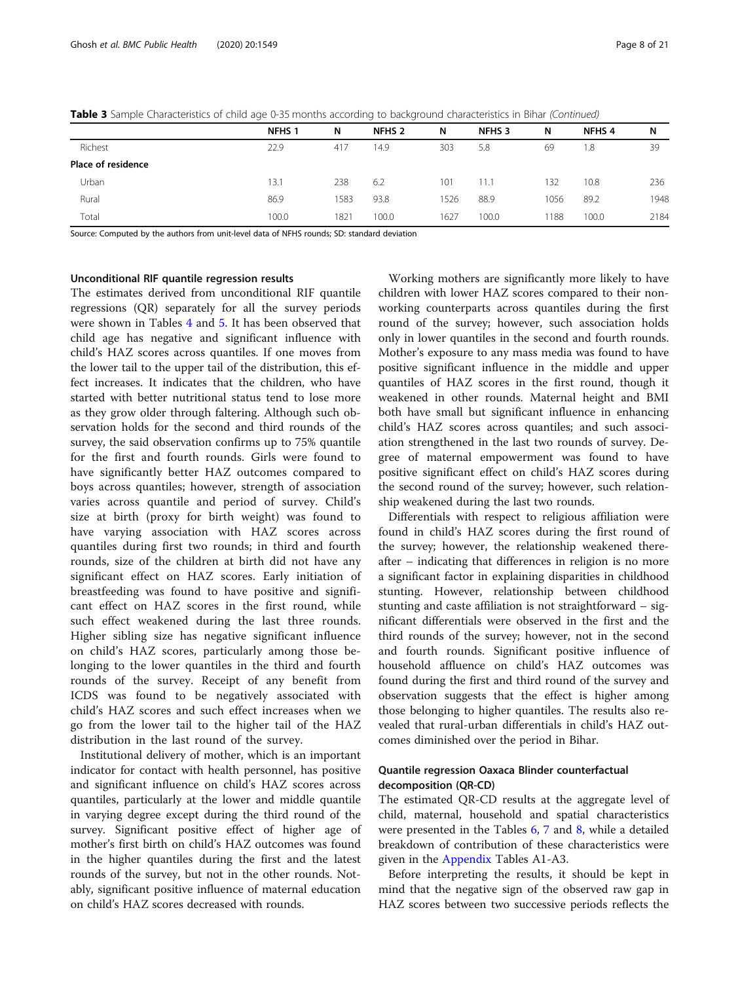|  |  | Table 3 Sample Characteristics of child age 0-35 months according to background characteristics in Bihar (Continued) |  |
|--|--|----------------------------------------------------------------------------------------------------------------------|--|
|  |  |                                                                                                                      |  |

|                    | NFHS <sub>1</sub> | N    | NFHS <sub>2</sub> | N    | NFHS <sub>3</sub> | N    | <b>NFHS4</b> | N    |
|--------------------|-------------------|------|-------------------|------|-------------------|------|--------------|------|
| Richest            | 22.9              | 417  | 14.9              | 303  | 5.8               | 69   | . .8         | 39   |
| Place of residence |                   |      |                   |      |                   |      |              |      |
| Urban              | 13.1              | 238  | 6.2               | 101  | H.1               | 132  | 10.8         | 236  |
| Rural              | 86.9              | 1583 | 93.8              | 1526 | 88.9              | 1056 | 89.2         | 1948 |
| Total              | 100.0             | 1821 | 100.0             | 1627 | 100.0             | 188  | 100.0        | 2184 |

Source: Computed by the authors from unit-level data of NFHS rounds; SD: standard deviation

# Unconditional RIF quantile regression results

The estimates derived from unconditional RIF quantile regressions (QR) separately for all the survey periods were shown in Tables [4](#page-8-0) and [5](#page-10-0). It has been observed that child age has negative and significant influence with child's HAZ scores across quantiles. If one moves from the lower tail to the upper tail of the distribution, this effect increases. It indicates that the children, who have started with better nutritional status tend to lose more as they grow older through faltering. Although such observation holds for the second and third rounds of the survey, the said observation confirms up to 75% quantile for the first and fourth rounds. Girls were found to have significantly better HAZ outcomes compared to boys across quantiles; however, strength of association varies across quantile and period of survey. Child's size at birth (proxy for birth weight) was found to have varying association with HAZ scores across quantiles during first two rounds; in third and fourth rounds, size of the children at birth did not have any significant effect on HAZ scores. Early initiation of breastfeeding was found to have positive and significant effect on HAZ scores in the first round, while such effect weakened during the last three rounds. Higher sibling size has negative significant influence on child's HAZ scores, particularly among those belonging to the lower quantiles in the third and fourth rounds of the survey. Receipt of any benefit from ICDS was found to be negatively associated with child's HAZ scores and such effect increases when we go from the lower tail to the higher tail of the HAZ distribution in the last round of the survey.

Institutional delivery of mother, which is an important indicator for contact with health personnel, has positive and significant influence on child's HAZ scores across quantiles, particularly at the lower and middle quantile in varying degree except during the third round of the survey. Significant positive effect of higher age of mother's first birth on child's HAZ outcomes was found in the higher quantiles during the first and the latest rounds of the survey, but not in the other rounds. Notably, significant positive influence of maternal education on child's HAZ scores decreased with rounds.

Working mothers are significantly more likely to have children with lower HAZ scores compared to their nonworking counterparts across quantiles during the first round of the survey; however, such association holds only in lower quantiles in the second and fourth rounds. Mother's exposure to any mass media was found to have positive significant influence in the middle and upper quantiles of HAZ scores in the first round, though it weakened in other rounds. Maternal height and BMI both have small but significant influence in enhancing child's HAZ scores across quantiles; and such association strengthened in the last two rounds of survey. Degree of maternal empowerment was found to have positive significant effect on child's HAZ scores during the second round of the survey; however, such relationship weakened during the last two rounds.

Differentials with respect to religious affiliation were found in child's HAZ scores during the first round of the survey; however, the relationship weakened thereafter – indicating that differences in religion is no more a significant factor in explaining disparities in childhood stunting. However, relationship between childhood stunting and caste affiliation is not straightforward – significant differentials were observed in the first and the third rounds of the survey; however, not in the second and fourth rounds. Significant positive influence of household affluence on child's HAZ outcomes was found during the first and third round of the survey and observation suggests that the effect is higher among those belonging to higher quantiles. The results also revealed that rural-urban differentials in child's HAZ outcomes diminished over the period in Bihar.

# Quantile regression Oaxaca Blinder counterfactual decomposition (QR-CD)

The estimated QR-CD results at the aggregate level of child, maternal, household and spatial characteristics were presented in the Tables [6](#page-11-0), [7](#page-12-0) and [8,](#page-13-0) while a detailed breakdown of contribution of these characteristics were given in the [Appendix](#page-14-0) Tables A1-A3.

Before interpreting the results, it should be kept in mind that the negative sign of the observed raw gap in HAZ scores between two successive periods reflects the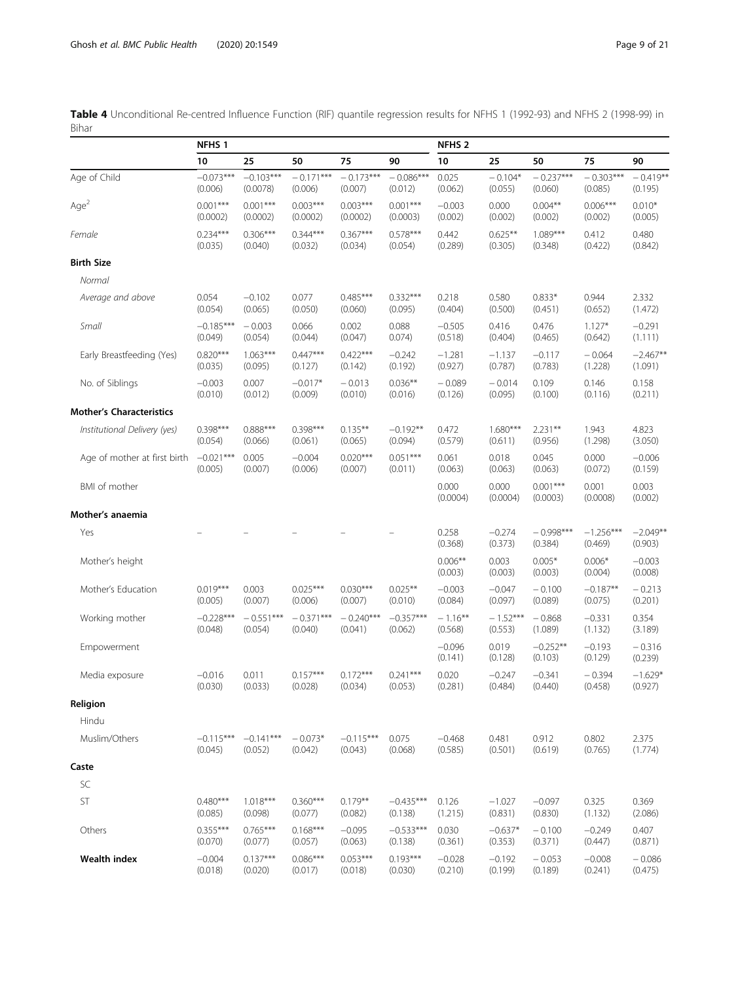<span id="page-8-0"></span>Table 4 Unconditional Re-centred Influence Function (RIF) quantile regression results for NFHS 1 (1992-93) and NFHS 2 (1998-99) in Bihar

|                                 | NFHS <sub>1</sub> |             |             |             |             | NFHS <sub>2</sub>    |                     |                        |                        |                       |
|---------------------------------|-------------------|-------------|-------------|-------------|-------------|----------------------|---------------------|------------------------|------------------------|-----------------------|
|                                 | 10                | 25          | 50          | 75          | 90          | 10                   | 25                  | 50                     | 75                     | 90                    |
| Age of Child                    | $-0.073***$       | $-0.103***$ | $-0.171***$ | $-0.173***$ | $-0.086***$ | 0.025                | $-0.104*$           | $-0.237***$            | $-0.303***$            | $-0.419**$            |
|                                 | (0.006)           | (0.0078)    | (0.006)     | (0.007)     | (0.012)     | (0.062)              | (0.055)             | (0.060)                | (0.085)                | (0.195)               |
| Age <sup>2</sup>                | $0.001***$        | $0.001***$  | $0.003***$  | $0.003***$  | $0.001***$  | $-0.003$             | 0.000               | $0.004***$             | $0.006***$             | $0.010*$              |
|                                 | (0.0002)          | (0.0002)    | (0.0002)    | (0.0002)    | (0.0003)    | (0.002)              | (0.002)             | (0.002)                | (0.002)                | (0.005)               |
| Female                          | $0.234***$        | $0.306***$  | $0.344***$  | $0.367***$  | $0.578***$  | 0.442                | $0.625***$          | 1.089***               | 0.412                  | 0.480                 |
|                                 | (0.035)           | (0.040)     | (0.032)     | (0.034)     | (0.054)     | (0.289)              | (0.305)             | (0.348)                | (0.422)                | (0.842)               |
| <b>Birth Size</b>               |                   |             |             |             |             |                      |                     |                        |                        |                       |
| Normal                          |                   |             |             |             |             |                      |                     |                        |                        |                       |
| Average and above               | 0.054             | $-0.102$    | 0.077       | $0.485***$  | $0.332***$  | 0.218                | 0.580               | $0.833*$               | 0.944                  | 2.332                 |
|                                 | (0.054)           | (0.065)     | (0.050)     | (0.060)     | (0.095)     | (0.404)              | (0.500)             | (0.451)                | (0.652)                | (1.472)               |
| Small                           | $-0.185***$       | $-0.003$    | 0.066       | 0.002       | 0.088       | $-0.505$             | 0.416               | 0.476                  | $1.127*$               | $-0.291$              |
|                                 | (0.049)           | (0.054)     | (0.044)     | (0.047)     | 0.074)      | (0.518)              | (0.404)             | (0.465)                | (0.642)                | (1.111)               |
| Early Breastfeeding (Yes)       | $0.820***$        | $1.063***$  | $0.447***$  | $0.422***$  | $-0.242$    | $-1.281$             | $-1.137$            | $-0.117$               | $-0.064$               | $-2.467**$            |
|                                 | (0.035)           | (0.095)     | (0.127)     | (0.142)     | (0.192)     | (0.927)              | (0.787)             | (0.783)                | (1.228)                | (1.091)               |
| No. of Siblings                 | $-0.003$          | 0.007       | $-0.017*$   | $-0.013$    | $0.036**$   | $-0.089$             | $-0.014$            | 0.109                  | 0.146                  | 0.158                 |
|                                 | (0.010)           | (0.012)     | (0.009)     | (0.010)     | (0.016)     | (0.126)              | (0.095)             | (0.100)                | (0.116)                | (0.211)               |
| <b>Mother's Characteristics</b> |                   |             |             |             |             |                      |                     |                        |                        |                       |
| Institutional Delivery (yes)    | $0.398***$        | $0.888***$  | $0.398***$  | $0.135***$  | $-0.192**$  | 0.472                | $1.680***$          | $2.231***$             | 1.943                  | 4.823                 |
|                                 | (0.054)           | (0.066)     | (0.061)     | (0.065)     | (0.094)     | (0.579)              | (0.611)             | (0.956)                | (1.298)                | (3.050)               |
| Age of mother at first birth    | $-0.021***$       | 0.005       | $-0.004$    | $0.020***$  | $0.051***$  | 0.061                | 0.018               | 0.045                  | 0.000                  | $-0.006$              |
|                                 | (0.005)           | (0.007)     | (0.006)     | (0.007)     | (0.011)     | (0.063)              | (0.063)             | (0.063)                | (0.072)                | (0.159)               |
| BMI of mother                   |                   |             |             |             |             | 0.000<br>(0.0004)    | 0.000<br>(0.0004)   | $0.001***$<br>(0.0003) | 0.001<br>(0.0008)      | 0.003<br>(0.002)      |
| Mother's anaemia                |                   |             |             |             |             |                      |                     |                        |                        |                       |
| Yes                             |                   |             |             |             |             | 0.258<br>(0.368)     | $-0.274$<br>(0.373) | $-0.998***$<br>(0.384) | $-1.256***$<br>(0.469) | $-2.049**$<br>(0.903) |
| Mother's height                 |                   |             |             |             |             | $0.006**$<br>(0.003) | 0.003<br>(0.003)    | $0.005*$<br>(0.003)    | $0.006*$<br>(0.004)    | $-0.003$<br>(0.008)   |
| Mother's Education              | $0.019***$        | 0.003       | $0.025***$  | $0.030***$  | $0.025**$   | $-0.003$             | $-0.047$            | $-0.100$               | $-0.187**$             | $-0.213$              |
|                                 | (0.005)           | (0.007)     | (0.006)     | (0.007)     | (0.010)     | (0.084)              | (0.097)             | (0.089)                | (0.075)                | (0.201)               |
| Working mother                  | $-0.228***$       | $-0.551***$ | $-0.371***$ | $-0.240***$ | $-0.357***$ | $-1.16***$           | $-1.52***$          | $-0.868$               | $-0.331$               | 0.354                 |
|                                 | (0.048)           | (0.054)     | (0.040)     | (0.041)     | (0.062)     | (0.568)              | (0.553)             | (1.089)                | (1.132)                | (3.189)               |
| Empowerment                     |                   |             |             |             |             | $-0.096$<br>(0.141)  | 0.019<br>(0.128)    | $-0.252**$<br>(0.103)  | $-0.193$<br>(0.129)    | $-0.316$<br>(0.239)   |
| Media exposure                  | $-0.016$          | 0.011       | $0.157***$  | $0.172***$  | $0.241***$  | 0.020                | $-0.247$            | $-0.341$               | $-0.394$               | $-1.629*$             |
|                                 | (0.030)           | (0.033)     | (0.028)     | (0.034)     | (0.053)     | (0.281)              | (0.484)             | (0.440)                | (0.458)                | (0.927)               |
| Religion                        |                   |             |             |             |             |                      |                     |                        |                        |                       |
| Hindu                           |                   |             |             |             |             |                      |                     |                        |                        |                       |
| Muslim/Others                   | $-0.115***$       | $-0.141***$ | $-0.073*$   | $-0.115***$ | 0.075       | $-0.468$             | 0.481               | 0.912                  | 0.802                  | 2.375                 |
|                                 | (0.045)           | (0.052)     | (0.042)     | (0.043)     | (0.068)     | (0.585)              | (0.501)             | (0.619)                | (0.765)                | (1.774)               |
| Caste                           |                   |             |             |             |             |                      |                     |                        |                        |                       |
| SC                              |                   |             |             |             |             |                      |                     |                        |                        |                       |
| ST                              | $0.480***$        | $1.018***$  | $0.360***$  | $0.179***$  | $-0.435***$ | 0.126                | $-1.027$            | $-0.097$               | 0.325                  | 0.369                 |
|                                 | (0.085)           | (0.098)     | (0.077)     | (0.082)     | (0.138)     | (1.215)              | (0.831)             | (0.830)                | (1.132)                | (2.086)               |
| Others                          | $0.355***$        | $0.765***$  | $0.168***$  | $-0.095$    | $-0.533***$ | 0.030                | $-0.637*$           | $-0.100$               | $-0.249$               | 0.407                 |
|                                 | (0.070)           | (0.077)     | (0.057)     | (0.063)     | (0.138)     | (0.361)              | (0.353)             | (0.371)                | (0.447)                | (0.871)               |
| Wealth index                    | $-0.004$          | $0.137***$  | $0.086***$  | $0.053***$  | $0.193***$  | $-0.028$             | $-0.192$            | $-0.053$               | $-0.008$               | $-0.086$              |
|                                 | (0.018)           | (0.020)     | (0.017)     | (0.018)     | (0.030)     | (0.210)              | (0.199)             | (0.189)                | (0.241)                | (0.475)               |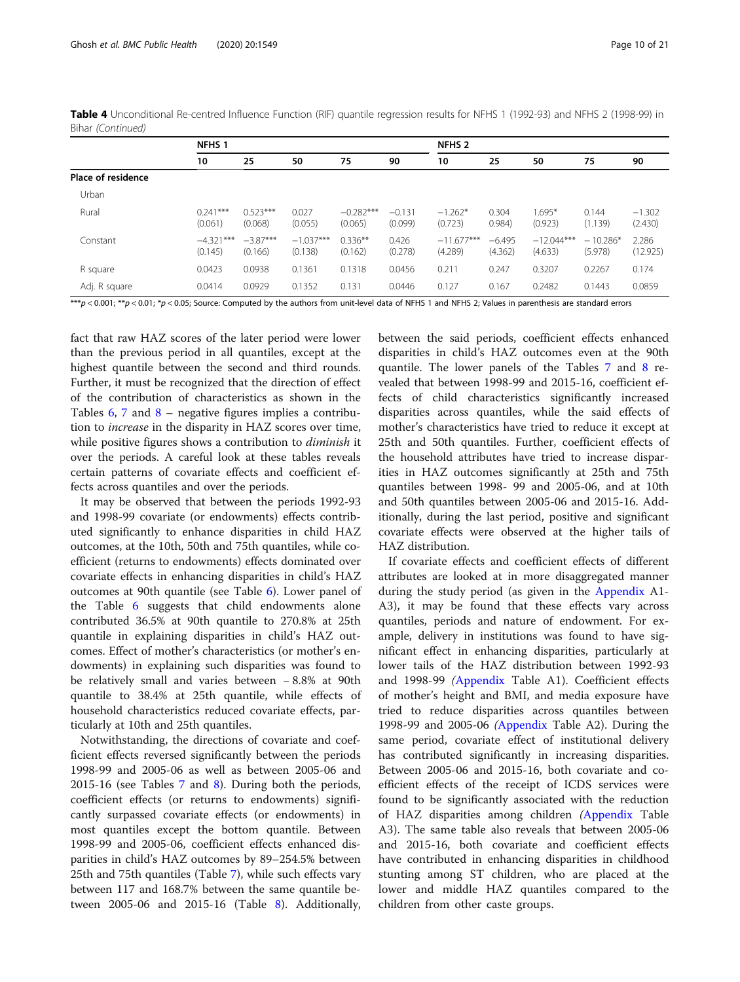|                    | NFHS <sub>1</sub>      |                       |                        |                        |                     | NFHS <sub>2</sub>       |                     |                         |                       |                     |
|--------------------|------------------------|-----------------------|------------------------|------------------------|---------------------|-------------------------|---------------------|-------------------------|-----------------------|---------------------|
|                    | 10                     | 25                    | 50                     | 75                     | 90                  | 10                      | 25                  | 50                      | 75                    | 90                  |
| Place of residence |                        |                       |                        |                        |                     |                         |                     |                         |                       |                     |
| Urban              |                        |                       |                        |                        |                     |                         |                     |                         |                       |                     |
| Rural              | $0.241***$<br>(0.061)  | $0.523***$<br>(0.068) | 0.027<br>(0.055)       | $-0.282***$<br>(0.065) | $-0.131$<br>(0.099) | $-1.262*$<br>(0.723)    | 0.304<br>0.984)     | $1.695*$<br>(0.923)     | 0.144<br>(1.139)      | $-1.302$<br>(2.430) |
| Constant           | $-4.321***$<br>(0.145) | $-3.87***$<br>(0.166) | $-1.037***$<br>(0.138) | $0.336**$<br>(0.162)   | 0.426<br>(0.278)    | $-11.677***$<br>(4.289) | $-6.495$<br>(4.362) | $-12.044***$<br>(4.633) | $-10.286*$<br>(5.978) | 2.286<br>(12.925)   |
| R square           | 0.0423                 | 0.0938                | 0.1361                 | 0.1318                 | 0.0456              | 0.211                   | 0.247               | 0.3207                  | 0.2267                | 0.174               |
| Adj. R square      | 0.0414                 | 0.0929                | 0.1352                 | 0.131                  | 0.0446              | 0.127                   | 0.167               | 0.2482                  | 0.1443                | 0.0859              |

Table 4 Unconditional Re-centred Influence Function (RIF) quantile regression results for NFHS 1 (1992-93) and NFHS 2 (1998-99) in Bihar (Continued)

\*\*\*p < 0.001; \*\*p < 0.01; \*p < 0.05; Source: Computed by the authors from unit-level data of NFHS 1 and NFHS 2; Values in parenthesis are standard errors

fact that raw HAZ scores of the later period were lower than the previous period in all quantiles, except at the highest quantile between the second and third rounds. Further, it must be recognized that the direction of effect of the contribution of characteristics as shown in the Tables  $6$ , [7](#page-12-0) and  $8$  – negative figures implies a contribution to increase in the disparity in HAZ scores over time, while positive figures shows a contribution to *diminish* it over the periods. A careful look at these tables reveals certain patterns of covariate effects and coefficient effects across quantiles and over the periods.

It may be observed that between the periods 1992-93 and 1998-99 covariate (or endowments) effects contributed significantly to enhance disparities in child HAZ outcomes, at the 10th, 50th and 75th quantiles, while coefficient (returns to endowments) effects dominated over covariate effects in enhancing disparities in child's HAZ outcomes at 90th quantile (see Table [6](#page-11-0)). Lower panel of the Table [6](#page-11-0) suggests that child endowments alone contributed 36.5% at 90th quantile to 270.8% at 25th quantile in explaining disparities in child's HAZ outcomes. Effect of mother's characteristics (or mother's endowments) in explaining such disparities was found to be relatively small and varies between − 8.8% at 90th quantile to 38.4% at 25th quantile, while effects of household characteristics reduced covariate effects, particularly at 10th and 25th quantiles.

Notwithstanding, the directions of covariate and coefficient effects reversed significantly between the periods 1998-99 and 2005-06 as well as between 2005-06 and 2015-16 (see Tables [7](#page-12-0) and [8\)](#page-13-0). During both the periods, coefficient effects (or returns to endowments) significantly surpassed covariate effects (or endowments) in most quantiles except the bottom quantile. Between 1998-99 and 2005-06, coefficient effects enhanced disparities in child's HAZ outcomes by 89–254.5% between 25th and 75th quantiles (Table [7](#page-12-0)), while such effects vary between 117 and 168.7% between the same quantile between 2005-06 and 2015-16 (Table [8](#page-13-0)). Additionally, between the said periods, coefficient effects enhanced disparities in child's HAZ outcomes even at the 90th quantile. The lower panels of the Tables [7](#page-12-0) and [8](#page-13-0) revealed that between 1998-99 and 2015-16, coefficient effects of child characteristics significantly increased disparities across quantiles, while the said effects of mother's characteristics have tried to reduce it except at 25th and 50th quantiles. Further, coefficient effects of the household attributes have tried to increase disparities in HAZ outcomes significantly at 25th and 75th quantiles between 1998- 99 and 2005-06, and at 10th and 50th quantiles between 2005-06 and 2015-16. Additionally, during the last period, positive and significant covariate effects were observed at the higher tails of HAZ distribution.

If covariate effects and coefficient effects of different attributes are looked at in more disaggregated manner during the study period (as given in the [Appendix](#page-14-0) A1- A3), it may be found that these effects vary across quantiles, periods and nature of endowment. For example, delivery in institutions was found to have significant effect in enhancing disparities, particularly at lower tails of the HAZ distribution between 1992-93 and 1998-99 ([Appendix](#page-14-0) Table A1). Coefficient effects of mother's height and BMI, and media exposure have tried to reduce disparities across quantiles between 1998-99 and 2005-06 ([Appendix](#page-14-0) Table A2). During the same period, covariate effect of institutional delivery has contributed significantly in increasing disparities. Between 2005-06 and 2015-16, both covariate and coefficient effects of the receipt of ICDS services were found to be significantly associated with the reduction of HAZ disparities among children ([Appendix](#page-14-0) Table A3). The same table also reveals that between 2005-06 and 2015-16, both covariate and coefficient effects have contributed in enhancing disparities in childhood stunting among ST children, who are placed at the lower and middle HAZ quantiles compared to the children from other caste groups.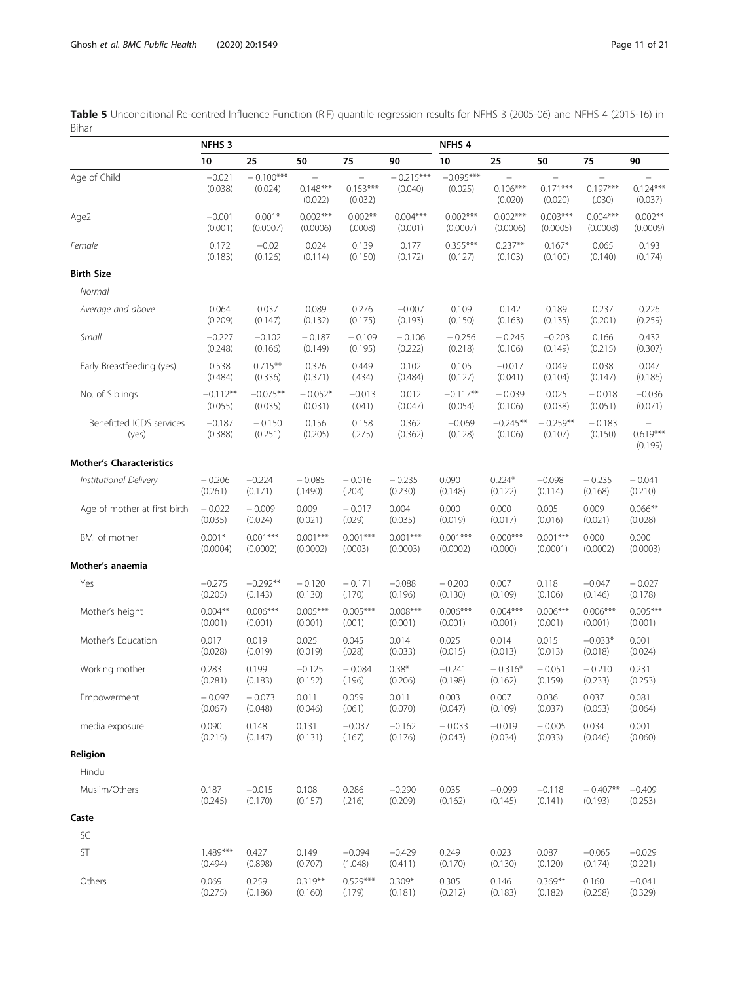<span id="page-10-0"></span>Table 5 Unconditional Re-centred Influence Function (RIF) quantile regression results for NFHS 3 (2005-06) and NFHS 4 (2015-16) in Bihar

|                                 | NFHS <sub>3</sub><br>NFHS <sub>4</sub> |                        |                       |                                                   |                        |                        |                       |                       |                      |                       |
|---------------------------------|----------------------------------------|------------------------|-----------------------|---------------------------------------------------|------------------------|------------------------|-----------------------|-----------------------|----------------------|-----------------------|
|                                 | 10                                     | 25                     | 50                    | 75                                                | 90                     | 10                     | 25                    | 50                    | 75                   | 90                    |
| Age of Child                    | $-0.021$<br>(0.038)                    | $-0.100***$<br>(0.024) | $0.148***$<br>(0.022) | $\overline{\phantom{0}}$<br>$0.153***$<br>(0.032) | $-0.215***$<br>(0.040) | $-0.095***$<br>(0.025) | $0.106***$<br>(0.020) | $0.171***$<br>(0.020) | $0.197***$<br>(.030) | $0.124***$<br>(0.037) |
| Age2                            | $-0.001$                               | $0.001*$               | $0.002***$            | $0.002**$                                         | $0.004***$             | $0.002***$             | $0.002***$            | $0.003***$            | $0.004***$           | $0.002**$             |
|                                 | (0.001)                                | (0.0007)               | (0.0006)              | (.0008)                                           | (0.001)                | (0.0007)               | (0.0006)              | (0.0005)              | (0.0008)             | (0.0009)              |
| Female                          | 0.172                                  | $-0.02$                | 0.024                 | 0.139                                             | 0.177                  | $0.355***$             | $0.237**$             | $0.167*$              | 0.065                | 0.193                 |
|                                 | (0.183)                                | (0.126)                | (0.114)               | (0.150)                                           | (0.172)                | (0.127)                | (0.103)               | (0.100)               | (0.140)              | (0.174)               |
| <b>Birth Size</b>               |                                        |                        |                       |                                                   |                        |                        |                       |                       |                      |                       |
| Normal                          |                                        |                        |                       |                                                   |                        |                        |                       |                       |                      |                       |
| Average and above               | 0.064                                  | 0.037                  | 0.089                 | 0.276                                             | $-0.007$               | 0.109                  | 0.142                 | 0.189                 | 0.237                | 0.226                 |
|                                 | (0.209)                                | (0.147)                | (0.132)               | (0.175)                                           | (0.193)                | (0.150)                | (0.163)               | (0.135)               | (0.201)              | (0.259)               |
| Small                           | $-0.227$                               | $-0.102$               | $-0.187$              | $-0.109$                                          | $-0.106$               | $-0.256$               | $-0.245$              | $-0.203$              | 0.166                | 0.432                 |
|                                 | (0.248)                                | (0.166)                | (0.149)               | (0.195)                                           | (0.222)                | (0.218)                | (0.106)               | (0.149)               | (0.215)              | (0.307)               |
| Early Breastfeeding (yes)       | 0.538                                  | $0.715***$             | 0.326                 | 0.449                                             | 0.102                  | 0.105                  | $-0.017$              | 0.049                 | 0.038                | 0.047                 |
|                                 | (0.484)                                | (0.336)                | (0.371)               | (.434)                                            | (0.484)                | (0.127)                | (0.041)               | (0.104)               | (0.147)              | (0.186)               |
| No. of Siblings                 | $-0.112**$                             | $-0.075**$             | $-0.052*$             | $-0.013$                                          | 0.012                  | $-0.117**$             | $-0.039$              | 0.025                 | $-0.018$             | $-0.036$              |
|                                 | (0.055)                                | (0.035)                | (0.031)               | (.041)                                            | (0.047)                | (0.054)                | (0.106)               | (0.038)               | (0.051)              | (0.071)               |
| Benefitted ICDS services        | $-0.187$                               | $-0.150$               | 0.156                 | 0.158                                             | 0.362                  | $-0.069$               | $-0.245**$            | $-0.259**$            | $-0.183$             | $0.619***$            |
| (yes)                           | (0.388)                                | (0.251)                | (0.205)               | (.275)                                            | (0.362)                | (0.128)                | (0.106)               | (0.107)               | (0.150)              | (0.199)               |
| <b>Mother's Characteristics</b> |                                        |                        |                       |                                                   |                        |                        |                       |                       |                      |                       |
| Institutional Delivery          | $-0.206$                               | $-0.224$               | $-0.085$              | $-0.016$                                          | $-0.235$               | 0.090                  | $0.224*$              | $-0.098$              | $-0.235$             | $-0.041$              |
|                                 | (0.261)                                | (0.171)                | (.1490)               | (.204)                                            | (0.230)                | (0.148)                | (0.122)               | (0.114)               | (0.168)              | (0.210)               |
| Age of mother at first birth    | $-0.022$                               | $-0.009$               | 0.009                 | $-0.017$                                          | 0.004                  | 0.000                  | 0.000                 | 0.005                 | 0.009                | $0.066***$            |
|                                 | (0.035)                                | (0.024)                | (0.021)               | (.029)                                            | (0.035)                | (0.019)                | (0.017)               | (0.016)               | (0.021)              | (0.028)               |
| BMI of mother                   | $0.001*$                               | $0.001***$             | $0.001***$            | $0.001***$                                        | $0.001***$             | $0.001***$             | $0.000***$            | $0.001***$            | 0.000                | 0.000                 |
|                                 | (0.0004)                               | (0.0002)               | (0.0002)              | (.0003)                                           | (0.0003)               | (0.0002)               | (0.000)               | (0.0001)              | (0.0002)             | (0.0003)              |
| Mother's anaemia                |                                        |                        |                       |                                                   |                        |                        |                       |                       |                      |                       |
| Yes                             | $-0.275$                               | $-0.292**$             | $-0.120$              | $-0.171$                                          | $-0.088$               | $-0.200$               | 0.007                 | 0.118                 | $-0.047$             | $-0.027$              |
|                                 | (0.205)                                | (0.143)                | (0.130)               | (.170)                                            | (0.196)                | (0.130)                | (0.109)               | (0.106)               | (0.146)              | (0.178)               |
| Mother's height                 | $0.004**$                              | $0.006***$             | $0.005***$            | $0.005***$                                        | $0.008***$             | $0.006***$             | $0.004***$            | $0.006***$            | $0.006***$           | $0.005***$            |
|                                 | (0.001)                                | (0.001)                | (0.001)               | (.001)                                            | (0.001)                | (0.001)                | (0.001)               | (0.001)               | (0.001)              | (0.001)               |
| Mother's Education              | 0.017                                  | 0.019                  | 0.025                 | 0.045                                             | 0.014                  | 0.025                  | 0.014                 | 0.015                 | $-0.033*$            | 0.001                 |
|                                 | (0.028)                                | (0.019)                | (0.019)               | (.028)                                            | (0.033)                | (0.015)                | (0.013)               | (0.013)               | (0.018)              | (0.024)               |
| Working mother                  | 0.283                                  | 0.199                  | $-0.125$              | $-0.084$                                          | $0.38*$                | $-0.241$               | $-0.316*$             | $-0.051$              | $-0.210$             | 0.231                 |
|                                 | (0.281)                                | (0.183)                | (0.152)               | (.196)                                            | (0.206)                | (0.198)                | (0.162)               | (0.159)               | (0.233)              | (0.253)               |
| Empowerment                     | $-0.097$                               | $-0.073$               | 0.011                 | 0.059                                             | 0.011                  | 0.003                  | 0.007                 | 0.036                 | 0.037                | 0.081                 |
|                                 | (0.067)                                | (0.048)                | (0.046)               | (.061)                                            | (0.070)                | (0.047)                | (0.109)               | (0.037)               | (0.053)              | (0.064)               |
| media exposure                  | 0.090                                  | 0.148                  | 0.131                 | $-0.037$                                          | $-0.162$               | $-0.033$               | $-0.019$              | $-0.005$              | 0.034                | 0.001                 |
|                                 | (0.215)                                | (0.147)                | (0.131)               | (.167)                                            | (0.176)                | (0.043)                | (0.034)               | (0.033)               | (0.046)              | (0.060)               |
| Religion                        |                                        |                        |                       |                                                   |                        |                        |                       |                       |                      |                       |
| Hindu                           |                                        |                        |                       |                                                   |                        |                        |                       |                       |                      |                       |
| Muslim/Others                   | 0.187                                  | $-0.015$               | 0.108                 | 0.286                                             | $-0.290$               | 0.035                  | $-0.099$              | $-0.118$              | $-0.407**$           | $-0.409$              |
|                                 | (0.245)                                | (0.170)                | (0.157)               | (.216)                                            | (0.209)                | (0.162)                | (0.145)               | (0.141)               | (0.193)              | (0.253)               |
| Caste                           |                                        |                        |                       |                                                   |                        |                        |                       |                       |                      |                       |
| SC                              |                                        |                        |                       |                                                   |                        |                        |                       |                       |                      |                       |
| ST                              | $1.489***$                             | 0.427                  | 0.149                 | $-0.094$                                          | $-0.429$               | 0.249                  | 0.023                 | 0.087                 | $-0.065$             | $-0.029$              |
|                                 | (0.494)                                | (0.898)                | (0.707)               | (1.048)                                           | (0.411)                | (0.170)                | (0.130)               | (0.120)               | (0.174)              | (0.221)               |
| Others                          | 0.069                                  | 0.259                  | $0.319**$             | $0.529***$                                        | $0.309*$               | 0.305                  | 0.146                 | $0.369**$             | 0.160                | $-0.041$              |
|                                 | (0.275)                                | (0.186)                | (0.160)               | (.179)                                            | (0.181)                | (0.212)                | (0.183)               | (0.182)               | (0.258)              | (0.329)               |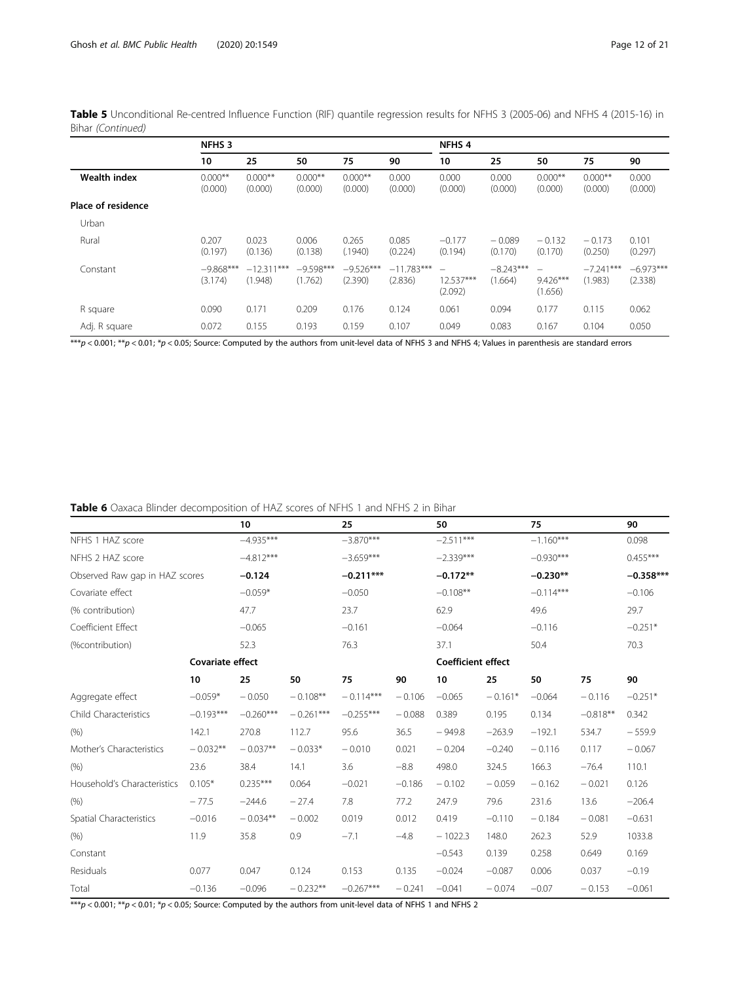|                     | NFHS <sub>3</sub>      |                         |                        |                        |                         | NFHS <sub>4</sub>                                |                        |                                                 |                        |                        |
|---------------------|------------------------|-------------------------|------------------------|------------------------|-------------------------|--------------------------------------------------|------------------------|-------------------------------------------------|------------------------|------------------------|
|                     | 10                     | 25                      | 50                     | 75                     | 90                      | 10                                               | 25                     | 50                                              | 75                     | 90                     |
| <b>Wealth index</b> | $0.000**$<br>(0.000)   | $0.000**$<br>(0.000)    | $0.000**$<br>(0.000)   | $0.000**$<br>(0.000)   | 0.000<br>(0.000)        | 0.000<br>(0.000)                                 | 0.000<br>(0.000)       | $0.000**$<br>(0.000)                            | $0.000**$<br>(0.000)   | 0.000<br>(0.000)       |
| Place of residence  |                        |                         |                        |                        |                         |                                                  |                        |                                                 |                        |                        |
| Urban               |                        |                         |                        |                        |                         |                                                  |                        |                                                 |                        |                        |
| Rural               | 0.207<br>(0.197)       | 0.023<br>(0.136)        | 0.006<br>(0.138)       | 0.265<br>(.1940)       | 0.085<br>(0.224)        | $-0.177$<br>(0.194)                              | $-0.089$<br>(0.170)    | $-0.132$<br>(0.170)                             | $-0.173$<br>(0.250)    | 0.101<br>(0.297)       |
| Constant            | $-9.868***$<br>(3.174) | $-12.311***$<br>(1.948) | $-9.598***$<br>(1.762) | $-9.526***$<br>(2.390) | $-11.783***$<br>(2.836) | $\overline{\phantom{0}}$<br>12.537***<br>(2.092) | $-8.243***$<br>(1.664) | $\overline{\phantom{0}}$<br>9.426***<br>(1.656) | $-7.241***$<br>(1.983) | $-6.973***$<br>(2.338) |
| R square            | 0.090                  | 0.171                   | 0.209                  | 0.176                  | 0.124                   | 0.061                                            | 0.094                  | 0.177                                           | 0.115                  | 0.062                  |
| Adj. R square       | 0.072                  | 0.155                   | 0.193                  | 0.159                  | 0.107                   | 0.049                                            | 0.083                  | 0.167                                           | 0.104                  | 0.050                  |

<span id="page-11-0"></span>Table 5 Unconditional Re-centred Influence Function (RIF) quantile regression results for NFHS 3 (2005-06) and NFHS 4 (2015-16) in Bihar (Continued)

 $***p$  < 0.001;  $**p$  < 0.01;  $*p$  < 0.05; Source: Computed by the authors from unit-level data of NFHS 3 and NFHS 4; Values in parenthesis are standard errors

# Table 6 Oaxaca Blinder decomposition of HAZ scores of NFHS 1 and NFHS 2 in Bihar

|                                |                  | 10          |             | 25          |          | 50                        |           | 75          |            | 90          |  |
|--------------------------------|------------------|-------------|-------------|-------------|----------|---------------------------|-----------|-------------|------------|-------------|--|
| NFHS 1 HAZ score               |                  | $-4.935***$ |             | $-3.870***$ |          | $-2.511***$               |           | $-1.160***$ |            | 0.098       |  |
| NFHS 2 HAZ score               |                  | $-4.812***$ |             | $-3.659***$ |          | $-2.339***$               |           | $-0.930***$ |            | $0.455***$  |  |
| Observed Raw gap in HAZ scores |                  | $-0.124$    |             | $-0.211***$ |          | $-0.172**$                |           | $-0.230**$  |            | $-0.358***$ |  |
| Covariate effect               |                  | $-0.059*$   |             | $-0.050$    |          | $-0.108**$                |           | $-0.114***$ |            | $-0.106$    |  |
| (% contribution)               |                  | 47.7        |             | 23.7        |          | 62.9                      |           | 49.6        |            | 29.7        |  |
| Coefficient Effect             |                  | $-0.065$    |             | $-0.161$    |          | $-0.064$                  |           | $-0.116$    |            | $-0.251*$   |  |
| (%contribution)                |                  | 52.3        |             | 76.3        |          |                           | 37.1      |             |            | 70.3        |  |
|                                | Covariate effect |             |             |             |          | <b>Coefficient effect</b> |           |             |            |             |  |
|                                | 10               | 25          | 50          | 75          | 90       | 10                        | 25        | 50          | 75         | 90          |  |
| Aggregate effect               | $-0.059*$        | $-0.050$    | $-0.108**$  | $-0.114***$ | $-0.106$ | $-0.065$                  | $-0.161*$ | $-0.064$    | $-0.116$   | $-0.251*$   |  |
| Child Characteristics          | $-0.193***$      | $-0.260***$ | $-0.261***$ | $-0.255***$ | $-0.088$ | 0.389                     | 0.195     | 0.134       | $-0.818**$ | 0.342       |  |
| (9/6)                          | 142.1            | 270.8       | 112.7       | 95.6        | 36.5     | $-949.8$                  | $-263.9$  | $-192.1$    | 534.7      | $-559.9$    |  |
| Mother's Characteristics       | $-0.032**$       | $-0.037**$  | $-0.033*$   | $-0.010$    | 0.021    | $-0.204$                  | $-0.240$  | $-0.116$    | 0.117      | $-0.067$    |  |
| (% )                           | 23.6             | 38.4        | 14.1        | 3.6         | $-8.8$   | 498.0                     | 324.5     | 166.3       | $-76.4$    | 110.1       |  |
| Household's Characteristics    | $0.105*$         | $0.235***$  | 0.064       | $-0.021$    | $-0.186$ | $-0.102$                  | $-0.059$  | $-0.162$    | $-0.021$   | 0.126       |  |
| (9/6)                          | $-77.5$          | $-244.6$    | $-27.4$     | 7.8         | 77.2     | 247.9                     | 79.6      | 231.6       | 13.6       | $-206.4$    |  |
| Spatial Characteristics        | $-0.016$         | $-0.034**$  | $-0.002$    | 0.019       | 0.012    | 0.419                     | $-0.110$  | $-0.184$    | $-0.081$   | $-0.631$    |  |
| (% )                           | 11.9             | 35.8        | 0.9         | $-7.1$      | $-4.8$   | $-1022.3$                 | 148.0     | 262.3       | 52.9       | 1033.8      |  |
| Constant                       |                  |             |             |             |          | $-0.543$                  | 0.139     | 0.258       | 0.649      | 0.169       |  |
| Residuals                      | 0.077            | 0.047       | 0.124       | 0.153       | 0.135    | $-0.024$                  | $-0.087$  | 0.006       | 0.037      | $-0.19$     |  |
| Total                          | $-0.136$         | $-0.096$    | $-0.232**$  | $-0.267***$ | $-0.241$ | $-0.041$                  | $-0.074$  | $-0.07$     | $-0.153$   | $-0.061$    |  |

 $***p < 0.001; **p < 0.01; *p < 0.05$ ; Source: Computed by the authors from unit-level data of NFHS 1 and NFHS 2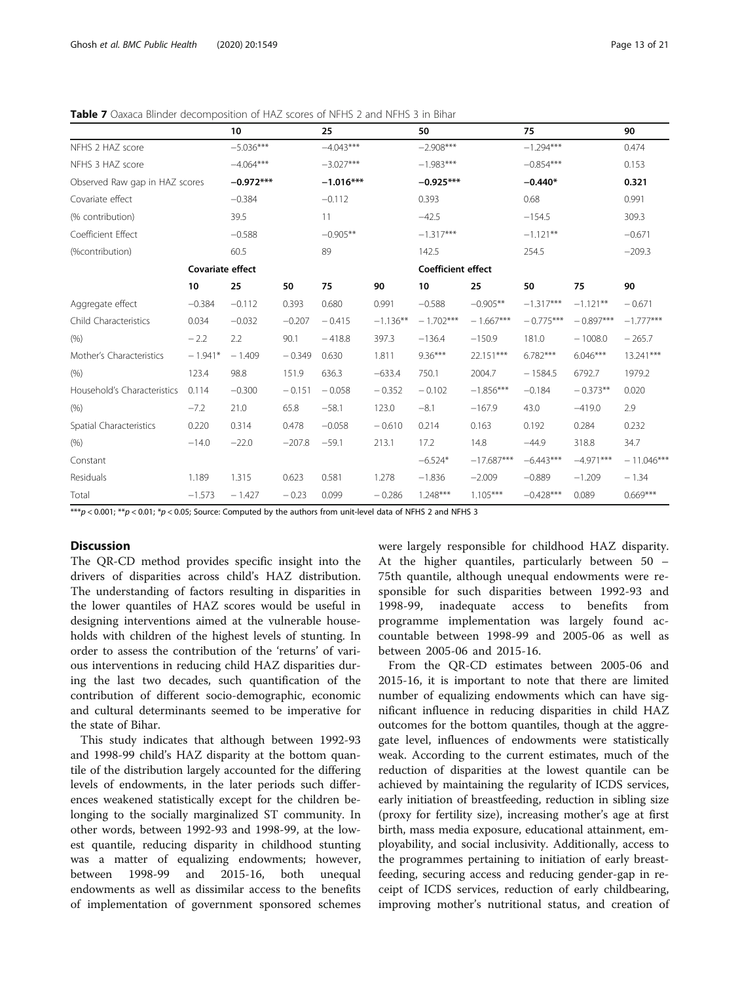|                                |                         | 10          |          | 25          |             | 50                        |              | 75          |             | 90           |
|--------------------------------|-------------------------|-------------|----------|-------------|-------------|---------------------------|--------------|-------------|-------------|--------------|
| NFHS 2 HAZ score               |                         | $-5.036***$ |          | $-4.043***$ |             | $-2.908***$               |              | $-1.294***$ |             | 0.474        |
| NFHS 3 HAZ score               |                         | $-4.064***$ |          | $-3.027***$ |             | $-1.983***$               |              | $-0.854***$ |             | 0.153        |
| Observed Raw gap in HAZ scores |                         | $-0.972***$ |          | $-1.016***$ |             | $-0.925***$               |              | $-0.440*$   |             | 0.321        |
| Covariate effect               |                         | $-0.384$    |          | $-0.112$    |             | 0.393                     |              | 0.68        |             | 0.991        |
| (% contribution)               |                         | 39.5        |          | 11          |             | $-42.5$                   |              | $-154.5$    |             | 309.3        |
| Coefficient Effect             |                         | $-0.588$    |          | $-0.905**$  |             | $-1.317***$               |              | $-1.121**$  |             | $-0.671$     |
| (%contribution)                |                         | 60.5        |          | 89          |             | 142.5                     |              | 254.5       |             | $-209.3$     |
|                                | <b>Covariate effect</b> |             |          |             |             | <b>Coefficient effect</b> |              |             |             |              |
|                                | 10                      | 25          | 50       | 75          | 90          | 10                        | 25           | 50          | 75          | 90           |
| Aggregate effect               | $-0.384$                | $-0.112$    | 0.393    | 0.680       | 0.991       | $-0.588$                  | $-0.905**$   | $-1.317***$ | $-1.121***$ | $-0.671$     |
| Child Characteristics          | 0.034                   | $-0.032$    | $-0.207$ | $-0.415$    | $-1.136***$ | $-1.702***$               | $-1.667***$  | $-0.775***$ | $-0.897***$ | $-1.777***$  |
| (% )                           | $-2.2$                  | 2.2         | 90.1     | $-418.8$    | 397.3       | $-136.4$                  | $-150.9$     | 181.0       | $-1008.0$   | $-265.7$     |
| Mother's Characteristics       | $-1.941*$               | $-1.409$    | $-0.349$ | 0.630       | 1.811       | $9.36***$                 | 22.151***    | $6.782***$  | $6.046***$  | 13.241***    |
| (% )                           | 123.4                   | 98.8        | 151.9    | 636.3       | $-633.4$    | 750.1                     | 2004.7       | $-1584.5$   | 6792.7      | 1979.2       |
| Household's Characteristics    | 0.114                   | $-0.300$    | $-0.151$ | $-0.058$    | $-0.352$    | $-0.102$                  | $-1.856***$  | $-0.184$    | $-0.373**$  | 0.020        |
| (% )                           | $-7.2$                  | 21.0        | 65.8     | $-58.1$     | 123.0       | $-8.1$                    | $-167.9$     | 43.0        | $-419.0$    | 2.9          |
| Spatial Characteristics        | 0.220                   | 0.314       | 0.478    | $-0.058$    | $-0.610$    | 0.214                     | 0.163        | 0.192       | 0.284       | 0.232        |
| (% )                           | $-14.0$                 | $-22.0$     | $-207.8$ | $-59.1$     | 213.1       | 17.2                      | 14.8         | $-44.9$     | 318.8       | 34.7         |
| Constant                       |                         |             |          |             |             | $-6.524*$                 | $-17.687***$ | $-6.443***$ | $-4.971***$ | $-11.046***$ |
| Residuals                      | 1.189                   | 1.315       | 0.623    | 0.581       | 1.278       | $-1.836$                  | $-2.009$     | $-0.889$    | $-1.209$    | $-1.34$      |
| Total                          | $-1.573$                | $-1.427$    | $-0.23$  | 0.099       | $-0.286$    | $1.248***$                | $1.105***$   | $-0.428***$ | 0.089       | $0.669***$   |

<span id="page-12-0"></span>Table 7 Oaxaca Blinder decomposition of HAZ scores of NFHS 2 and NFHS 3 in Bihar

\*\*\*p < 0.001; \*\*p < 0.01; \*p < 0.05; Source: Computed by the authors from unit-level data of NFHS 2 and NFHS 3

### **Discussion**

The QR-CD method provides specific insight into the drivers of disparities across child's HAZ distribution. The understanding of factors resulting in disparities in the lower quantiles of HAZ scores would be useful in designing interventions aimed at the vulnerable households with children of the highest levels of stunting. In order to assess the contribution of the 'returns' of various interventions in reducing child HAZ disparities during the last two decades, such quantification of the contribution of different socio-demographic, economic and cultural determinants seemed to be imperative for the state of Bihar.

This study indicates that although between 1992-93 and 1998-99 child's HAZ disparity at the bottom quantile of the distribution largely accounted for the differing levels of endowments, in the later periods such differences weakened statistically except for the children belonging to the socially marginalized ST community. In other words, between 1992-93 and 1998-99, at the lowest quantile, reducing disparity in childhood stunting was a matter of equalizing endowments; however, between 1998-99 and 2015-16, both unequal endowments as well as dissimilar access to the benefits of implementation of government sponsored schemes were largely responsible for childhood HAZ disparity. At the higher quantiles, particularly between 50 – 75th quantile, although unequal endowments were responsible for such disparities between 1992-93 and 1998-99, inadequate access to benefits from programme implementation was largely found accountable between 1998-99 and 2005-06 as well as between 2005-06 and 2015-16.

From the QR-CD estimates between 2005-06 and 2015-16, it is important to note that there are limited number of equalizing endowments which can have significant influence in reducing disparities in child HAZ outcomes for the bottom quantiles, though at the aggregate level, influences of endowments were statistically weak. According to the current estimates, much of the reduction of disparities at the lowest quantile can be achieved by maintaining the regularity of ICDS services, early initiation of breastfeeding, reduction in sibling size (proxy for fertility size), increasing mother's age at first birth, mass media exposure, educational attainment, employability, and social inclusivity. Additionally, access to the programmes pertaining to initiation of early breastfeeding, securing access and reducing gender-gap in receipt of ICDS services, reduction of early childbearing, improving mother's nutritional status, and creation of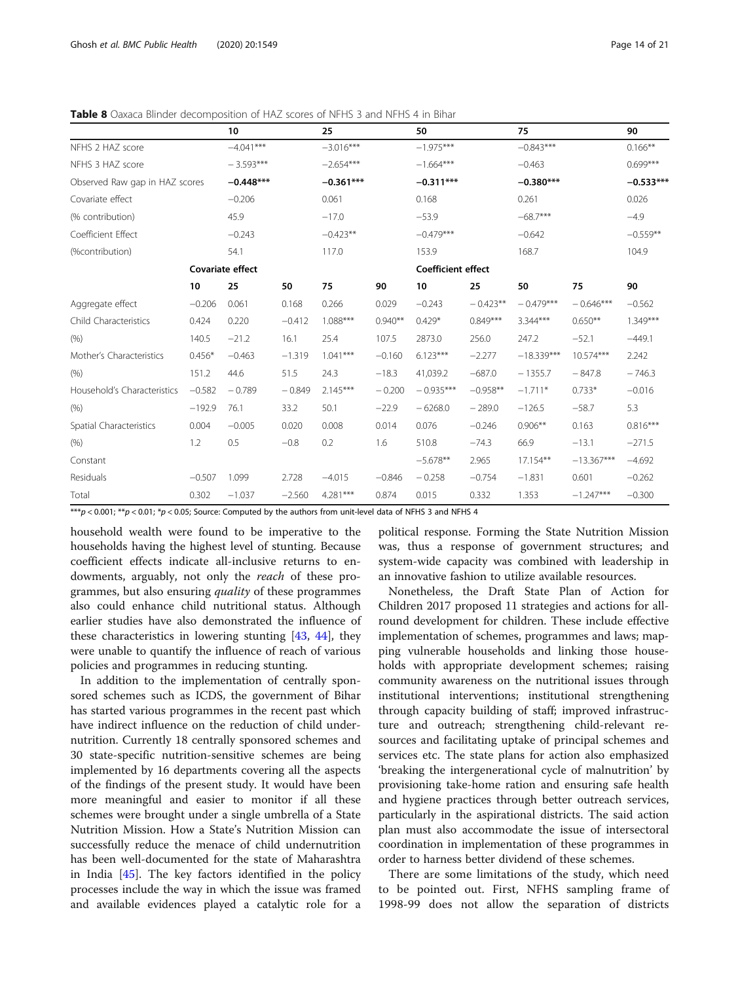|                                |          | 10                      |          | 25          |           | 50                        |            | 75           |              | 90          |
|--------------------------------|----------|-------------------------|----------|-------------|-----------|---------------------------|------------|--------------|--------------|-------------|
| NFHS 2 HAZ score               |          | $-4.041***$             |          | $-3.016***$ |           | $-1.975***$               |            | $-0.843***$  |              | $0.166***$  |
| NFHS 3 HAZ score               |          | $-3.593***$             |          | $-2.654***$ |           | $-1.664***$               |            | $-0.463$     |              | $0.699***$  |
| Observed Raw gap in HAZ scores |          | $-0.448***$             |          | $-0.361***$ |           | $-0.311***$               |            | $-0.380***$  |              | $-0.533***$ |
| Covariate effect               |          | $-0.206$                |          | 0.061       |           | 0.168                     |            | 0.261        |              | 0.026       |
| (% contribution)               |          | 45.9                    |          | $-17.0$     |           | $-53.9$                   |            | $-68.7***$   |              | $-4.9$      |
| Coefficient Effect             |          | $-0.243$                |          | $-0.423**$  |           | $-0.479***$               |            | $-0.642$     |              | $-0.559**$  |
| (%contribution)                |          | 54.1                    |          | 117.0       |           | 153.9                     |            | 168.7        |              | 104.9       |
|                                |          | <b>Covariate effect</b> |          |             |           | <b>Coefficient effect</b> |            |              |              |             |
|                                | 10       | 25                      | 50       | 75          | 90        | 10                        | 25         | 50           | 75           | 90          |
| Aggregate effect               | $-0.206$ | 0.061                   | 0.168    | 0.266       | 0.029     | $-0.243$                  | $-0.423**$ | $-0.479***$  | $-0.646***$  | $-0.562$    |
| Child Characteristics          | 0.424    | 0.220                   | $-0.412$ | 1.088***    | $0.940**$ | $0.429*$                  | $0.849***$ | $3.344***$   | $0.650**$    | $1.349***$  |
| (% )                           | 140.5    | $-21.2$                 | 16.1     | 25.4        | 107.5     | 2873.0                    | 256.0      | 247.2        | $-52.1$      | $-449.1$    |
| Mother's Characteristics       | $0.456*$ | $-0.463$                | $-1.319$ | $1.041***$  | $-0.160$  | $6.123***$                | $-2.277$   | $-18.339***$ | $10.574***$  | 2.242       |
| (% )                           | 151.2    | 44.6                    | 51.5     | 24.3        | $-18.3$   | 41.039.2                  | $-687.0$   | $-1355.7$    | $-847.8$     | $-746.3$    |
| Household's Characteristics    | $-0.582$ | $-0.789$                | $-0.849$ | $2.145***$  | $-0.200$  | $-0.935***$               | $-0.958**$ | $-1.711*$    | $0.733*$     | $-0.016$    |
| (% )                           | $-192.9$ | 76.1                    | 33.2     | 50.1        | $-22.9$   | $-6268.0$                 | $-289.0$   | $-126.5$     | $-58.7$      | 5.3         |
| Spatial Characteristics        | 0.004    | $-0.005$                | 0.020    | 0.008       | 0.014     | 0.076                     | $-0.246$   | $0.906**$    | 0.163        | $0.816***$  |
| (% )                           | 1.2      | 0.5                     | $-0.8$   | 0.2         | 1.6       | 510.8                     | $-74.3$    | 66.9         | $-13.1$      | $-271.5$    |
| Constant                       |          |                         |          |             |           | $-5.678**$                | 2.965      | $17.154**$   | $-13.367***$ | $-4.692$    |
| Residuals                      | $-0.507$ | 1.099                   | 2.728    | $-4.015$    | $-0.846$  | $-0.258$                  | $-0.754$   | $-1.831$     | 0.601        | $-0.262$    |
| Total                          | 0.302    | $-1.037$                | $-2.560$ | $4.281***$  | 0.874     | 0.015                     | 0.332      | 1.353        | $-1.247***$  | $-0.300$    |

<span id="page-13-0"></span>Table 8 Oaxaca Blinder decomposition of HAZ scores of NFHS 3 and NFHS 4 in Bihar

\*\*\*p < 0.001; \*\*p < 0.01; \*p < 0.05; Source: Computed by the authors from unit-level data of NFHS 3 and NFHS 4

household wealth were found to be imperative to the households having the highest level of stunting. Because coefficient effects indicate all-inclusive returns to endowments, arguably, not only the reach of these programmes, but also ensuring *quality* of these programmes also could enhance child nutritional status. Although earlier studies have also demonstrated the influence of these characteristics in lowering stunting [\[43](#page-20-0), [44\]](#page-20-0), they were unable to quantify the influence of reach of various policies and programmes in reducing stunting.

In addition to the implementation of centrally sponsored schemes such as ICDS, the government of Bihar has started various programmes in the recent past which have indirect influence on the reduction of child undernutrition. Currently 18 centrally sponsored schemes and 30 state-specific nutrition-sensitive schemes are being implemented by 16 departments covering all the aspects of the findings of the present study. It would have been more meaningful and easier to monitor if all these schemes were brought under a single umbrella of a State Nutrition Mission. How a State's Nutrition Mission can successfully reduce the menace of child undernutrition has been well-documented for the state of Maharashtra in India [[45\]](#page-20-0). The key factors identified in the policy processes include the way in which the issue was framed and available evidences played a catalytic role for a

political response. Forming the State Nutrition Mission was, thus a response of government structures; and system-wide capacity was combined with leadership in an innovative fashion to utilize available resources.

Nonetheless, the Draft State Plan of Action for Children 2017 proposed 11 strategies and actions for allround development for children. These include effective implementation of schemes, programmes and laws; mapping vulnerable households and linking those households with appropriate development schemes; raising community awareness on the nutritional issues through institutional interventions; institutional strengthening through capacity building of staff; improved infrastructure and outreach; strengthening child-relevant resources and facilitating uptake of principal schemes and services etc. The state plans for action also emphasized 'breaking the intergenerational cycle of malnutrition' by provisioning take-home ration and ensuring safe health and hygiene practices through better outreach services, particularly in the aspirational districts. The said action plan must also accommodate the issue of intersectoral coordination in implementation of these programmes in order to harness better dividend of these schemes.

There are some limitations of the study, which need to be pointed out. First, NFHS sampling frame of 1998-99 does not allow the separation of districts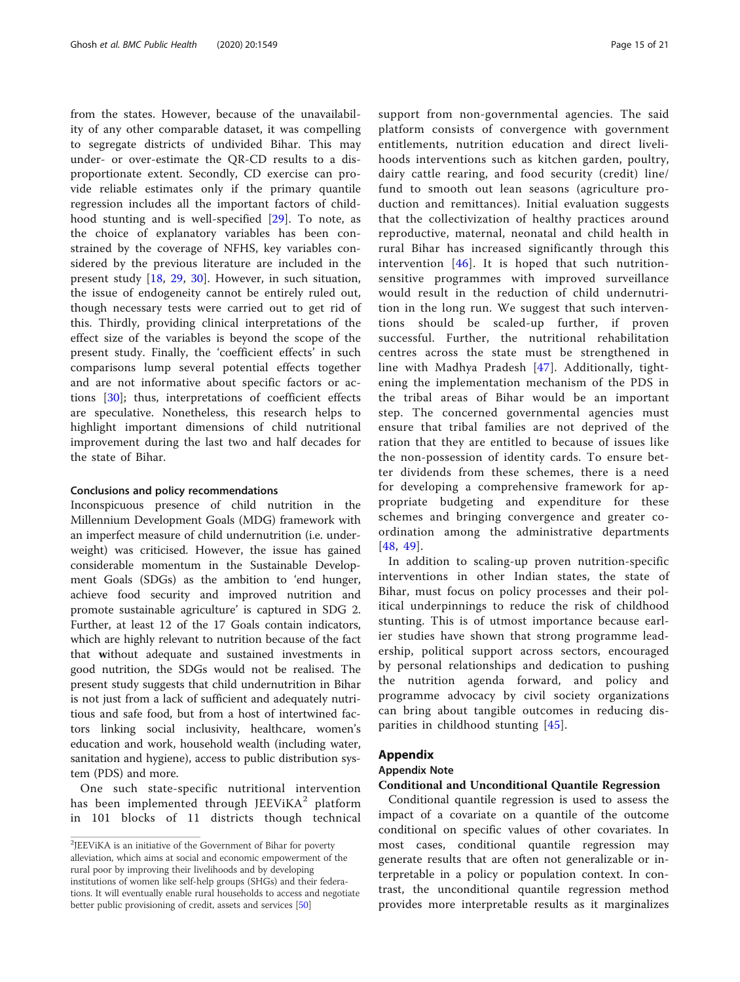<span id="page-14-0"></span>from the states. However, because of the unavailability of any other comparable dataset, it was compelling to segregate districts of undivided Bihar. This may under- or over-estimate the QR-CD results to a disproportionate extent. Secondly, CD exercise can provide reliable estimates only if the primary quantile regression includes all the important factors of childhood stunting and is well-specified [[29](#page-20-0)]. To note, as the choice of explanatory variables has been constrained by the coverage of NFHS, key variables considered by the previous literature are included in the present study [[18](#page-20-0), [29](#page-20-0), [30\]](#page-20-0). However, in such situation, the issue of endogeneity cannot be entirely ruled out, though necessary tests were carried out to get rid of this. Thirdly, providing clinical interpretations of the effect size of the variables is beyond the scope of the present study. Finally, the 'coefficient effects' in such comparisons lump several potential effects together and are not informative about specific factors or actions [\[30](#page-20-0)]; thus, interpretations of coefficient effects are speculative. Nonetheless, this research helps to highlight important dimensions of child nutritional improvement during the last two and half decades for the state of Bihar.

### Conclusions and policy recommendations

Inconspicuous presence of child nutrition in the Millennium Development Goals (MDG) framework with an imperfect measure of child undernutrition (i.e. underweight) was criticised. However, the issue has gained considerable momentum in the Sustainable Development Goals (SDGs) as the ambition to 'end hunger, achieve food security and improved nutrition and promote sustainable agriculture' is captured in SDG 2. Further, at least 12 of the 17 Goals contain indicators, which are highly relevant to nutrition because of the fact that without adequate and sustained investments in good nutrition, the SDGs would not be realised. The present study suggests that child undernutrition in Bihar is not just from a lack of sufficient and adequately nutritious and safe food, but from a host of intertwined factors linking social inclusivity, healthcare, women's education and work, household wealth (including water, sanitation and hygiene), access to public distribution system (PDS) and more.

One such state-specific nutritional intervention has been implemented through JEEViKA<sup>2</sup> platform in 101 blocks of 11 districts though technical support from non-governmental agencies. The said platform consists of convergence with government entitlements, nutrition education and direct livelihoods interventions such as kitchen garden, poultry, dairy cattle rearing, and food security (credit) line/ fund to smooth out lean seasons (agriculture production and remittances). Initial evaluation suggests that the collectivization of healthy practices around reproductive, maternal, neonatal and child health in rural Bihar has increased significantly through this intervention [[46](#page-20-0)]. It is hoped that such nutritionsensitive programmes with improved surveillance would result in the reduction of child undernutrition in the long run. We suggest that such interventions should be scaled-up further, if proven successful. Further, the nutritional rehabilitation centres across the state must be strengthened in line with Madhya Pradesh [[47\]](#page-20-0). Additionally, tightening the implementation mechanism of the PDS in the tribal areas of Bihar would be an important step. The concerned governmental agencies must ensure that tribal families are not deprived of the ration that they are entitled to because of issues like the non-possession of identity cards. To ensure better dividends from these schemes, there is a need for developing a comprehensive framework for appropriate budgeting and expenditure for these schemes and bringing convergence and greater coordination among the administrative departments [[48](#page-20-0), [49](#page-20-0)].

In addition to scaling-up proven nutrition-specific interventions in other Indian states, the state of Bihar, must focus on policy processes and their political underpinnings to reduce the risk of childhood stunting. This is of utmost importance because earlier studies have shown that strong programme leadership, political support across sectors, encouraged by personal relationships and dedication to pushing the nutrition agenda forward, and policy and programme advocacy by civil society organizations can bring about tangible outcomes in reducing disparities in childhood stunting [[45](#page-20-0)].

# Appendix

# Appendix Note

## Conditional and Unconditional Quantile Regression

Conditional quantile regression is used to assess the impact of a covariate on a quantile of the outcome conditional on specific values of other covariates. In most cases, conditional quantile regression may generate results that are often not generalizable or interpretable in a policy or population context. In contrast, the unconditional quantile regression method provides more interpretable results as it marginalizes

<sup>&</sup>lt;sup>2</sup>JEEViKA is an initiative of the Government of Bihar for poverty alleviation, which aims at social and economic empowerment of the rural poor by improving their livelihoods and by developing institutions of women like self-help groups (SHGs) and their federations. It will eventually enable rural households to access and negotiate better public provisioning of credit, assets and services [\[50](#page-20-0)]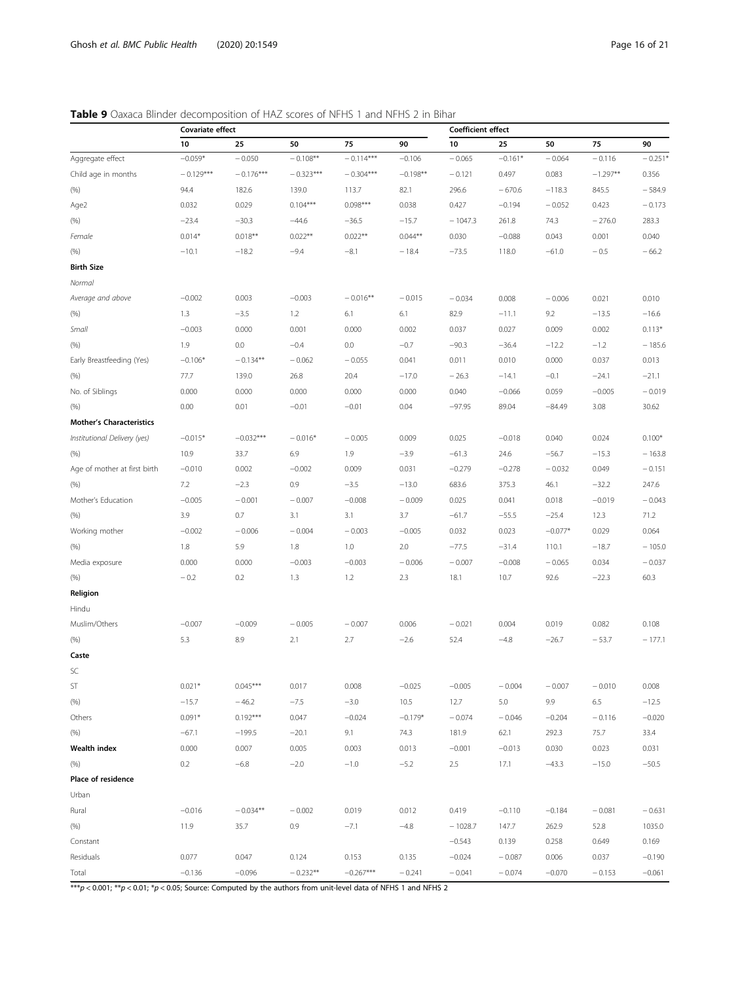# Table 9 Oaxaca Blinder decomposition of HAZ scores of NFHS 1 and NFHS 2 in Bihar

|                                 | Covariate effect | <b>Coefficient effect</b> |             |             |            |           |           |           |            |           |
|---------------------------------|------------------|---------------------------|-------------|-------------|------------|-----------|-----------|-----------|------------|-----------|
|                                 | 10               | 25                        | 50          | 75          | 90         | 10        | 25        | 50        | 75         | 90        |
| Aggregate effect                | $-0.059*$        | $-0.050$                  | $-0.108**$  | $-0.114***$ | $-0.106$   | $-0.065$  | $-0.161*$ | $-0.064$  | $-0.116$   | $-0.251*$ |
| Child age in months             | $-0.129***$      | $-0.176***$               | $-0.323***$ | $-0.304***$ | $-0.198**$ | $-0.121$  | 0.497     | 0.083     | $-1.297**$ | 0.356     |
| (% )                            | 94.4             | 182.6                     | 139.0       | 113.7       | 82.1       | 296.6     | $-670.6$  | $-118.3$  | 845.5      | $-584.9$  |
| Age2                            | 0.032            | 0.029                     | $0.104***$  | $0.098***$  | 0.038      | 0.427     | $-0.194$  | $-0.052$  | 0.423      | $-0.173$  |
| (% )                            | $-23.4$          | $-30.3$                   | $-44.6$     | $-36.5$     | $-15.7$    | $-1047.3$ | 261.8     | 74.3      | $-276.0$   | 283.3     |
| Female                          | $0.014*$         | $0.018**$                 | $0.022**$   | $0.022***$  | $0.044**$  | 0.030     | $-0.088$  | 0.043     | 0.001      | 0.040     |
| (96)                            | $-10.1$          | $-18.2$                   | $-9.4$      | $-8.1$      | $-18.4$    | $-73.5$   | 118.0     | $-61.0$   | $-0.5$     | $-66.2$   |
| <b>Birth Size</b>               |                  |                           |             |             |            |           |           |           |            |           |
| Normal                          |                  |                           |             |             |            |           |           |           |            |           |
| Average and above               | $-0.002$         | 0.003                     | $-0.003$    | $-0.016**$  | $-0.015$   | $-0.034$  | 0.008     | $-0.006$  | 0.021      | 0.010     |
| (% )                            | 1.3              | $-3.5$                    | 1.2         | 6.1         | 6.1        | 82.9      | $-11.1$   | 9.2       | $-13.5$    | $-16.6$   |
| Small                           | $-0.003$         | 0.000                     | 0.001       | 0.000       | 0.002      | 0.037     | 0.027     | 0.009     | 0.002      | $0.113*$  |
| (% )                            | 1.9              | 0.0                       | $-0.4$      | 0.0         | $-0.7$     | $-90.3$   | $-36.4$   | $-12.2$   | $-1.2$     | $-185.6$  |
| Early Breastfeeding (Yes)       | $-0.106*$        | $-0.134**$                | $-0.062$    | $-0.055$    | 0.041      | 0.011     | 0.010     | 0.000     | 0.037      | 0.013     |
| (% )                            | 77.7             | 139.0                     | 26.8        | 20.4        | $-17.0$    | $-26.3$   | $-14.1$   | $-0.1$    | $-24.1$    | $-21.1$   |
| No. of Siblings                 | 0.000            | 0.000                     | 0.000       | 0.000       | 0.000      | 0.040     | $-0.066$  | 0.059     | $-0.005$   | $-0.019$  |
| (% )                            | 0.00             | 0.01                      | $-0.01$     | $-0.01$     | 0.04       | $-97.95$  | 89.04     | $-84.49$  | 3.08       | 30.62     |
| <b>Mother's Characteristics</b> |                  |                           |             |             |            |           |           |           |            |           |
| Institutional Delivery (yes)    | $-0.015*$        | $-0.032***$               | $-0.016*$   | $-0.005$    | 0.009      | 0.025     | $-0.018$  | 0.040     | 0.024      | $0.100*$  |
| (% )                            | 10.9             | 33.7                      | 6.9         | 1.9         | $-3.9$     | $-61.3$   | 24.6      | $-56.7$   | $-15.3$    | $-163.8$  |
| Age of mother at first birth    | $-0.010$         | 0.002                     | $-0.002$    | 0.009       | 0.031      | $-0.279$  | $-0.278$  | $-0.032$  | 0.049      | $-0.151$  |
| (% )                            | 7.2              | $-2.3$                    | 0.9         | $-3.5$      | $-13.0$    | 683.6     | 375.3     | 46.1      | $-32.2$    | 247.6     |
| Mother's Education              | $-0.005$         | $-0.001$                  | $-0.007$    | $-0.008$    | $-0.009$   | 0.025     | 0.041     | 0.018     | $-0.019$   | $-0.043$  |
| (% )                            | 3.9              | 0.7                       | 3.1         | 3.1         | 3.7        | $-61.7$   | $-55.5$   | $-25.4$   | 12.3       | 71.2      |
| Working mother                  | $-0.002$         | $-0.006$                  | $-0.004$    | $-0.003$    | $-0.005$   | 0.032     | 0.023     | $-0.077*$ | 0.029      | 0.064     |
| (% )                            | 1.8              | 5.9                       | 1.8         | $1.0\,$     | 2.0        | $-77.5$   | $-31.4$   | 110.1     | $-18.7$    | $-105.0$  |
| Media exposure                  | 0.000            | 0.000                     | $-0.003$    | $-0.003$    | $-0.006$   | $-0.007$  | $-0.008$  | $-0.065$  | 0.034      | $-0.037$  |
| (% )                            | $-0.2$           | 0.2                       | 1.3         | 1.2         | 2.3        | 18.1      | 10.7      | 92.6      | $-22.3$    | 60.3      |
| Religion                        |                  |                           |             |             |            |           |           |           |            |           |
| Hindu                           |                  |                           |             |             |            |           |           |           |            |           |
| Muslim/Others                   | $-0.007$         | $-0.009$                  | $-0.005$    | $-0.007$    | 0.006      | $-0.021$  | 0.004     | 0.019     | 0.082      | 0.108     |
| (% )                            | 5.3              | 8.9                       | 2.1         | 2.7         | $-2.6$     | 52.4      | $-4.8$    | $-26.7$   | $-53.7$    | $-177.1$  |
| Caste                           |                  |                           |             |             |            |           |           |           |            |           |
| SC                              |                  |                           |             |             |            |           |           |           |            |           |
| ST                              | $0.021*$         | $0.045***$                | 0.017       | 0.008       | $-0.025$   | $-0.005$  | $-0.004$  | $-0.007$  | $-0.010$   | 0.008     |
| (% )                            | $-15.7$          | $-46.2$                   | $-7.5$      | $-3.0$      | 10.5       | 12.7      | 5.0       | 9.9       | 6.5        | $-12.5$   |
| Others                          | $0.091*$         | $0.192***$                | 0.047       | $-0.024$    | $-0.179*$  | $-0.074$  | $-0.046$  | $-0.204$  | $-0.116$   | $-0.020$  |
| (% )                            | $-67.1$          | $-199.5$                  | $-20.1$     | 9.1         | 74.3       | 181.9     | 62.1      | 292.3     | 75.7       | 33.4      |
| <b>Wealth index</b>             | 0.000            | 0.007                     | 0.005       | 0.003       | 0.013      | $-0.001$  | $-0.013$  | 0.030     | 0.023      | 0.031     |
| (% )                            | 0.2              | $-6.8$                    | $-2.0$      | $-1.0$      | $-5.2$     | $2.5\,$   | 17.1      | $-43.3$   | $-15.0$    | $-50.5$   |
| Place of residence              |                  |                           |             |             |            |           |           |           |            |           |
| Urban                           |                  |                           |             |             |            |           |           |           |            |           |
| Rural                           | $-0.016$         | $-0.034**$                | $-0.002$    | 0.019       | 0.012      | 0.419     | $-0.110$  | $-0.184$  | $-0.081$   | $-0.631$  |
| (% )                            | 11.9             | 35.7                      | 0.9         | $-7.1$      | $-4.8$     | $-1028.7$ | 147.7     | 262.9     | 52.8       | 1035.0    |
| Constant                        |                  |                           |             |             |            | $-0.543$  | 0.139     | 0.258     | 0.649      | 0.169     |
| Residuals                       | 0.077            | 0.047                     | 0.124       | 0.153       | 0.135      | $-0.024$  | $-0.087$  | 0.006     | 0.037      | $-0.190$  |
|                                 |                  |                           |             | $-0.267***$ |            |           |           |           |            |           |
| Total                           | $-0.136$         | $-0.096$                  | $-0.232**$  |             | $-0.241$   | $-0.041$  | $-0.074$  | $-0.070$  | $-0.153$   | $-0.061$  |

 $***p < 0.001; **p < 0.01; *p < 0.05$ ; Source: Computed by the authors from unit-level data of NFHS 1 and NFHS 2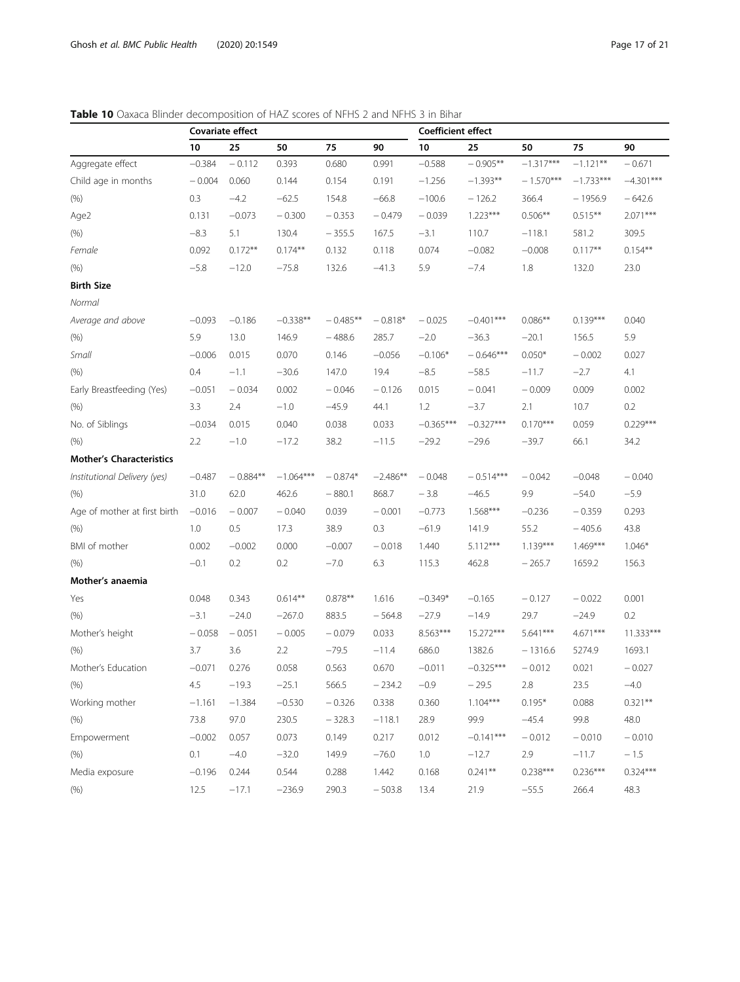# Table 10 Oaxaca Blinder decomposition of HAZ scores of NFHS 2 and NFHS 3 in Bihar

|                                 |          | Covariate effect |             |            |            | <b>Coefficient effect</b> |             |             |             |             |  |
|---------------------------------|----------|------------------|-------------|------------|------------|---------------------------|-------------|-------------|-------------|-------------|--|
|                                 | 10       | 25               | 50          | 75         | 90         | 10                        | 25          | 50          | 75          | 90          |  |
| Aggregate effect                | $-0.384$ | $-0.112$         | 0.393       | 0.680      | 0.991      | $-0.588$                  | $-0.905**$  | $-1.317***$ | $-1.121**$  | $-0.671$    |  |
| Child age in months             | $-0.004$ | 0.060            | 0.144       | 0.154      | 0.191      | $-1.256$                  | $-1.393**$  | $-1.570***$ | $-1.733***$ | $-4.301***$ |  |
| (% )                            | 0.3      | $-4.2$           | $-62.5$     | 154.8      | $-66.8$    | $-100.6$                  | $-126.2$    | 366.4       | $-1956.9$   | $-642.6$    |  |
| Age2                            | 0.131    | $-0.073$         | $-0.300$    | $-0.353$   | $-0.479$   | $-0.039$                  | $1.223***$  | $0.506***$  | $0.515***$  | 2.071***    |  |
| $(\% )$                         | $-8.3$   | 5.1              | 130.4       | $-355.5$   | 167.5      | $-3.1$                    | 110.7       | $-118.1$    | 581.2       | 309.5       |  |
| Female                          | 0.092    | $0.172**$        | $0.174***$  | 0.132      | 0.118      | 0.074                     | $-0.082$    | $-0.008$    | $0.117***$  | $0.154***$  |  |
| (% )                            | $-5.8$   | $-12.0$          | $-75.8$     | 132.6      | $-41.3$    | 5.9                       | $-7.4$      | $1.8\,$     | 132.0       | 23.0        |  |
| <b>Birth Size</b>               |          |                  |             |            |            |                           |             |             |             |             |  |
| Normal                          |          |                  |             |            |            |                           |             |             |             |             |  |
| Average and above               | $-0.093$ | $-0.186$         | $-0.338**$  | $-0.485**$ | $-0.818*$  | $-0.025$                  | $-0.401***$ | $0.086**$   | $0.139***$  | 0.040       |  |
| (% )                            | 5.9      | 13.0             | 146.9       | $-488.6$   | 285.7      | $-2.0$                    | $-36.3$     | $-20.1$     | 156.5       | 5.9         |  |
| Small                           | $-0.006$ | 0.015            | 0.070       | 0.146      | $-0.056$   | $-0.106*$                 | $-0.646***$ | $0.050*$    | $-0.002$    | 0.027       |  |
| (% )                            | 0.4      | $-1.1$           | $-30.6$     | 147.0      | 19.4       | $-8.5$                    | $-58.5$     | $-11.7$     | $-2.7$      | 4.1         |  |
| Early Breastfeeding (Yes)       | $-0.051$ | $-0.034$         | 0.002       | $-0.046$   | $-0.126$   | 0.015                     | $-0.041$    | $-0.009$    | 0.009       | 0.002       |  |
| (% )                            | 3.3      | 2.4              | $-1.0$      | $-45.9$    | 44.1       | 1.2                       | $-3.7$      | 2.1         | 10.7        | 0.2         |  |
| No. of Siblings                 | $-0.034$ | 0.015            | 0.040       | 0.038      | 0.033      | $-0.365***$               | $-0.327***$ | $0.170***$  | 0.059       | $0.229***$  |  |
| (% )                            | 2.2      | $-1.0$           | $-17.2$     | 38.2       | $-11.5$    | $-29.2$                   | $-29.6$     | $-39.7$     | 66.1        | 34.2        |  |
| <b>Mother's Characteristics</b> |          |                  |             |            |            |                           |             |             |             |             |  |
| Institutional Delivery (yes)    | $-0.487$ | $-0.884**$       | $-1.064***$ | $-0.874*$  | $-2.486**$ | $-0.048$                  | $-0.514***$ | $-0.042$    | $-0.048$    | $-0.040$    |  |
| (% )                            | 31.0     | 62.0             | 462.6       | $-880.1$   | 868.7      | $-3.8$                    | $-46.5$     | 9.9         | $-54.0$     | $-5.9$      |  |
| Age of mother at first birth    | $-0.016$ | $-0.007$         | $-0.040$    | 0.039      | $-0.001$   | $-0.773$                  | $1.568***$  | $-0.236$    | $-0.359$    | 0.293       |  |
| (% )                            | 1.0      | 0.5              | 17.3        | 38.9       | 0.3        | $-61.9$                   | 141.9       | 55.2        | $-405.6$    | 43.8        |  |
| BMI of mother                   | 0.002    | $-0.002$         | 0.000       | $-0.007$   | $-0.018$   | 1.440                     | $5.112***$  | $1.139***$  | $1.469***$  | $1.046*$    |  |
| (% )                            | $-0.1$   | 0.2              | 0.2         | $-7.0$     | 6.3        | 115.3                     | 462.8       | $-265.7$    | 1659.2      | 156.3       |  |
| Mother's anaemia                |          |                  |             |            |            |                           |             |             |             |             |  |
| Yes                             | 0.048    | 0.343            | $0.614**$   | $0.878**$  | 1.616      | $-0.349*$                 | $-0.165$    | $-0.127$    | $-0.022$    | 0.001       |  |
| (% )                            | $-3.1$   | $-24.0$          | $-267.0$    | 883.5      | $-564.8$   | $-27.9$                   | $-14.9$     | 29.7        | $-24.9$     | 0.2         |  |
| Mother's height                 | $-0.058$ | $-0.051$         | $-0.005$    | $-0.079$   | 0.033      | 8.563***                  | 15.272***   | $5.641***$  | $4.671***$  | 11.333***   |  |
| (% )                            | 3.7      | 3.6              | 2.2         | $-79.5$    | $-11.4$    | 686.0                     | 1382.6      | $-1316.6$   | 5274.9      | 1693.1      |  |
| Mother's Education              | $-0.071$ | 0.276            | 0.058       | 0.563      | 0.670      | $-0.011$                  | $-0.325***$ | $-0.012$    | 0.021       | $-0.027$    |  |
| (% )                            | 4.5      | $-19.3$          | $-25.1$     | 566.5      | $-234.2$   | $-0.9$                    | $-29.5$     | $2.8\,$     | 23.5        | $-4.0$      |  |
| Working mother                  | $-1.161$ | $-1.384$         | $-0.530$    | $-0.326$   | 0.338      | 0.360                     | $1.104***$  | $0.195*$    | 0.088       | $0.321**$   |  |
| (% )                            | 73.8     | 97.0             | 230.5       | $-328.3$   | $-118.1$   | 28.9                      | 99.9        | $-45.4$     | 99.8        | 48.0        |  |
| Empowerment                     | $-0.002$ | 0.057            | 0.073       | 0.149      | 0.217      | 0.012                     | $-0.141***$ | $-0.012$    | $-0.010$    | $-0.010$    |  |
| (% )                            | 0.1      | $-4.0$           | $-32.0$     | 149.9      | $-76.0$    | 1.0                       | $-12.7$     | 2.9         | $-11.7$     | $-1.5$      |  |
| Media exposure                  | $-0.196$ | 0.244            | 0.544       | 0.288      | 1.442      | 0.168                     | $0.241**$   | $0.238***$  | $0.236***$  | $0.324***$  |  |
| (% )                            | 12.5     | $-17.1$          | $-236.9$    | 290.3      | $-503.8$   | 13.4                      | 21.9        | $-55.5$     | 266.4       | 48.3        |  |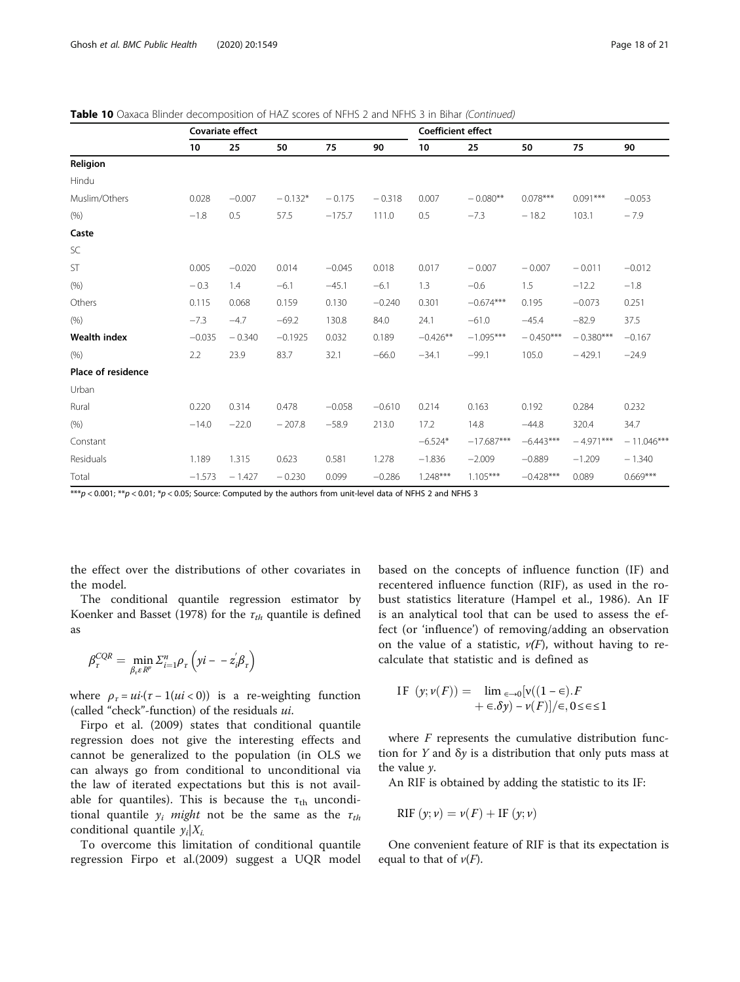|                     |          | Covariate effect |           |          |          |            | <b>Coefficient effect</b> |             |             |              |  |  |
|---------------------|----------|------------------|-----------|----------|----------|------------|---------------------------|-------------|-------------|--------------|--|--|
|                     | 10       | 25               | 50        | 75       | 90       | 10         | 25                        | 50          | 75          | 90           |  |  |
| Religion            |          |                  |           |          |          |            |                           |             |             |              |  |  |
| Hindu               |          |                  |           |          |          |            |                           |             |             |              |  |  |
| Muslim/Others       | 0.028    | $-0.007$         | $-0.132*$ | $-0.175$ | $-0.318$ | 0.007      | $-0.080**$                | $0.078***$  | $0.091***$  | $-0.053$     |  |  |
| (% )                | $-1.8$   | 0.5              | 57.5      | $-175.7$ | 111.0    | 0.5        | $-7.3$                    | $-18.2$     | 103.1       | $-7.9$       |  |  |
| Caste               |          |                  |           |          |          |            |                           |             |             |              |  |  |
| SC                  |          |                  |           |          |          |            |                           |             |             |              |  |  |
| ST                  | 0.005    | $-0.020$         | 0.014     | $-0.045$ | 0.018    | 0.017      | $-0.007$                  | $-0.007$    | $-0.011$    | $-0.012$     |  |  |
| (% )                | $-0.3$   | 1.4              | $-6.1$    | $-45.1$  | $-6.1$   | 1.3        | $-0.6$                    | 1.5         | $-12.2$     | $-1.8$       |  |  |
| Others              | 0.115    | 0.068            | 0.159     | 0.130    | $-0.240$ | 0.301      | $-0.674***$               | 0.195       | $-0.073$    | 0.251        |  |  |
| (% )                | $-7.3$   | $-4.7$           | $-69.2$   | 130.8    | 84.0     | 24.1       | $-61.0$                   | $-45.4$     | $-82.9$     | 37.5         |  |  |
| <b>Wealth index</b> | $-0.035$ | $-0.340$         | $-0.1925$ | 0.032    | 0.189    | $-0.426**$ | $-1.095***$               | $-0.450***$ | $-0.380***$ | $-0.167$     |  |  |
| (% )                | 2.2      | 23.9             | 83.7      | 32.1     | $-66.0$  | $-34.1$    | $-99.1$                   | 105.0       | $-429.1$    | $-24.9$      |  |  |
| Place of residence  |          |                  |           |          |          |            |                           |             |             |              |  |  |
| Urban               |          |                  |           |          |          |            |                           |             |             |              |  |  |
| Rural               | 0.220    | 0.314            | 0.478     | $-0.058$ | $-0.610$ | 0.214      | 0.163                     | 0.192       | 0.284       | 0.232        |  |  |
| (% )                | $-14.0$  | $-22.0$          | $-207.8$  | $-58.9$  | 213.0    | 17.2       | 14.8                      | $-44.8$     | 320.4       | 34.7         |  |  |
| Constant            |          |                  |           |          |          | $-6.524*$  | $-17.687***$              | $-6.443***$ | $-4.971***$ | $-11.046***$ |  |  |
| Residuals           | 1.189    | 1.315            | 0.623     | 0.581    | 1.278    | $-1.836$   | $-2.009$                  | $-0.889$    | $-1.209$    | $-1.340$     |  |  |
| Total               | $-1.573$ | $-1.427$         | $-0.230$  | 0.099    | $-0.286$ | $1.248***$ | $1.105***$                | $-0.428***$ | 0.089       | $0.669***$   |  |  |

**Table 10** Oaxaca Blinder decomposition of HAZ scores of NFHS 2 and NFHS 3 in Bihar (Continued)

\*\*\*p < 0.001; \*\*p < 0.01; \*p < 0.05; Source: Computed by the authors from unit-level data of NFHS 2 and NFHS 3

the effect over the distributions of other covariates in the model.

The conditional quantile regression estimator by Koenker and Basset (1978) for the  $\tau_{th}$  quantile is defined as

$$
\beta_{\tau}^{CQR} = \min_{\beta_{\tau} \in R^{\nu}} \Sigma_{i=1}^{n} \rho_{\tau} \left( yi - z_{i}^{'} \beta_{\tau} \right)
$$

where  $\rho_{\tau} = u i \cdot (\tau - 1(u i < 0))$  is a re-weighting function (called "check"-function) of the residuals ui.

Firpo et al. (2009) states that conditional quantile regression does not give the interesting effects and cannot be generalized to the population (in OLS we can always go from conditional to unconditional via the law of iterated expectations but this is not available for quantiles). This is because the  $\tau_{th}$  unconditional quantile  $y_i$  might not be the same as the  $\tau_{th}$ conditional quantile  $y_i|X_i$ .

To overcome this limitation of conditional quantile regression Firpo et al.(2009) suggest a UQR model based on the concepts of influence function (IF) and recentered influence function (RIF), as used in the robust statistics literature (Hampel et al., 1986). An IF is an analytical tool that can be used to assess the effect (or 'influence') of removing/adding an observation on the value of a statistic,  $v(F)$ , without having to recalculate that statistic and is defined as

IF 
$$
(y; \nu(F)) = \lim_{\epsilon \to 0} \left[ \nu((1 - \epsilon).F + \epsilon.\delta y) - \nu(F) \right] / \epsilon, 0 \le \epsilon \le 1
$$

where  $F$  represents the cumulative distribution function for  $Y$  and  $\delta y$  is a distribution that only puts mass at the value  $\nu$ .

An RIF is obtained by adding the statistic to its IF:

RIF 
$$
(y; v) = v(F) + \text{IF } (y; v)
$$

One convenient feature of RIF is that its expectation is equal to that of  $\nu(F)$ .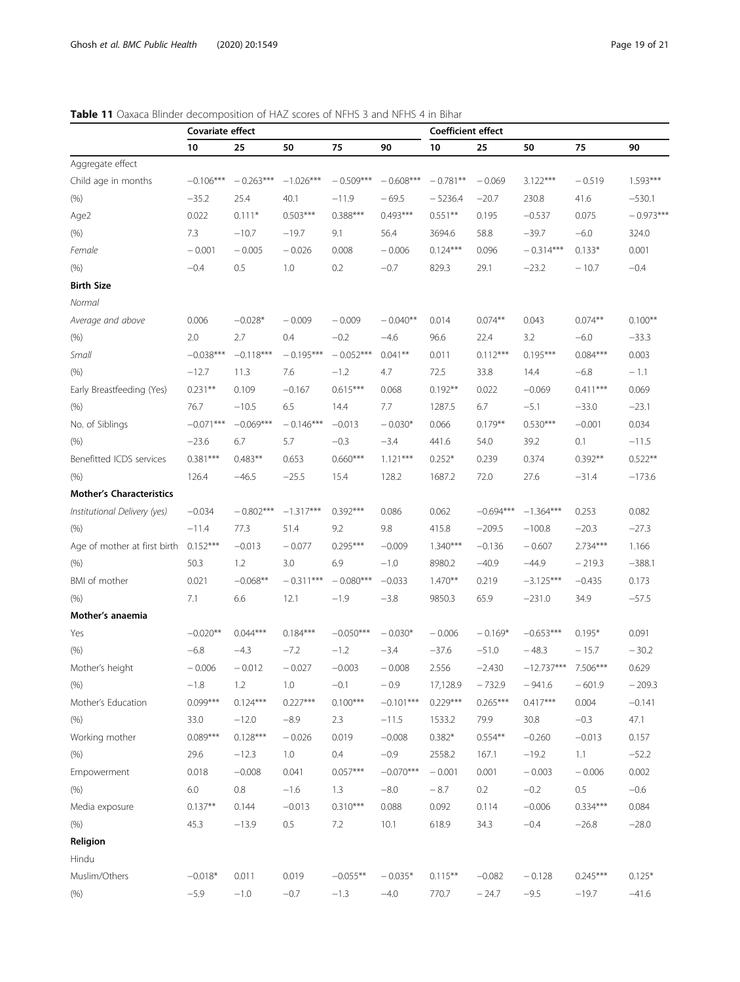Table 11 Oaxaca Blinder decomposition of HAZ scores of NFHS 3 and NFHS 4 in Bihar

|                                 | Covariate effect |             |             |             |             | <b>Coefficient effect</b> |             |              |            |             |  |
|---------------------------------|------------------|-------------|-------------|-------------|-------------|---------------------------|-------------|--------------|------------|-------------|--|
|                                 | 10               | 25          | 50          | 75          | 90          | 10                        | 25          | 50           | 75         | 90          |  |
| Aggregate effect                |                  |             |             |             |             |                           |             |              |            |             |  |
| Child age in months             | $-0.106***$      | $-0.263***$ | $-1.026***$ | $-0.509***$ | $-0.608***$ | $-0.781**$                | $-0.069$    | $3.122***$   | $-0.519$   | $1.593***$  |  |
| (% )                            | $-35.2$          | 25.4        | 40.1        | $-11.9$     | $-69.5$     | $-5236.4$                 | $-20.7$     | 230.8        | 41.6       | $-530.1$    |  |
| Age2                            | 0.022            | $0.111*$    | $0.503***$  | $0.388***$  | $0.493***$  | $0.551***$                | 0.195       | $-0.537$     | 0.075      | $-0.973***$ |  |
| (% )                            | 7.3              | $-10.7$     | $-19.7$     | 9.1         | 56.4        | 3694.6                    | 58.8        | $-39.7$      | $-6.0$     | 324.0       |  |
| Female                          | $-0.001$         | $-0.005$    | $-0.026$    | 0.008       | $-0.006$    | $0.124***$                | 0.096       | $-0.314***$  | $0.133*$   | 0.001       |  |
| (% )                            | $-0.4$           | $0.5\,$     | 1.0         | 0.2         | $-0.7$      | 829.3                     | 29.1        | $-23.2$      | $-10.7$    | $-0.4$      |  |
| <b>Birth Size</b>               |                  |             |             |             |             |                           |             |              |            |             |  |
| Normal                          |                  |             |             |             |             |                           |             |              |            |             |  |
| Average and above               | 0.006            | $-0.028*$   | $-0.009$    | $-0.009$    | $-0.040**$  | 0.014                     | $0.074**$   | 0.043        | $0.074**$  | $0.100**$   |  |
| (% )                            | 2.0              | 2.7         | 0.4         | $-0.2$      | $-4.6$      | 96.6                      | 22.4        | 3.2          | $-6.0$     | $-33.3$     |  |
| Small                           | $-0.038***$      | $-0.118***$ | $-0.195***$ | $-0.052***$ | $0.041***$  | 0.011                     | $0.112***$  | $0.195***$   | $0.084***$ | 0.003       |  |
| (% )                            | $-12.7$          | 11.3        | 7.6         | $-1.2$      | 4.7         | 72.5                      | 33.8        | 14.4         | $-6.8$     | $-1.1$      |  |
| Early Breastfeeding (Yes)       | $0.231**$        | 0.109       | $-0.167$    | $0.615***$  | 0.068       | $0.192**$                 | 0.022       | $-0.069$     | $0.411***$ | 0.069       |  |
| (% )                            | 76.7             | $-10.5$     | 6.5         | 14.4        | 7.7         | 1287.5                    | 6.7         | $-5.1$       | $-33.0$    | $-23.1$     |  |
| No. of Siblings                 | $-0.071***$      | $-0.069***$ | $-0.146***$ | $-0.013$    | $-0.030*$   | 0.066                     | $0.179**$   | $0.530***$   | $-0.001$   | 0.034       |  |
| $(\% )$                         | $-23.6$          | 6.7         | 5.7         | $-0.3$      | $-3.4$      | 441.6                     | 54.0        | 39.2         | 0.1        | $-11.5$     |  |
| Benefitted ICDS services        | $0.381***$       | $0.483**$   | 0.653       | $0.660***$  | $1.121***$  | $0.252*$                  | 0.239       | 0.374        | $0.392**$  | $0.522**$   |  |
| (% )                            | 126.4            | $-46.5$     | $-25.5$     | 15.4        | 128.2       | 1687.2                    | 72.0        | 27.6         | $-31.4$    | $-173.6$    |  |
| <b>Mother's Characteristics</b> |                  |             |             |             |             |                           |             |              |            |             |  |
| Institutional Delivery (yes)    | $-0.034$         | $-0.802***$ | $-1.317***$ | $0.392***$  | 0.086       | 0.062                     | $-0.694***$ | $-1.364***$  | 0.253      | 0.082       |  |
| (% )                            | $-11.4$          | 77.3        | 51.4        | 9.2         | 9.8         | 415.8                     | $-209.5$    | $-100.8$     | $-20.3$    | $-27.3$     |  |
| Age of mother at first birth    | $0.152***$       | $-0.013$    | $-0.077$    | $0.295***$  | $-0.009$    | $1.340***$                | $-0.136$    | $-0.607$     | $2.734***$ | 1.166       |  |
| (% )                            | 50.3             | 1.2         | 3.0         | 6.9         | $-1.0$      | 8980.2                    | $-40.9$     | $-44.9$      | $-219.3$   | $-388.1$    |  |
| BMI of mother                   | 0.021            | $-0.068**$  | $-0.311***$ | $-0.080***$ | $-0.033$    | $1.470**$                 | 0.219       | $-3.125***$  | $-0.435$   | 0.173       |  |
| (% )                            | 7.1              | 6.6         | 12.1        | $-1.9$      | $-3.8$      | 9850.3                    | 65.9        | $-231.0$     | 34.9       | $-57.5$     |  |
| Mother's anaemia                |                  |             |             |             |             |                           |             |              |            |             |  |
| Yes                             | $-0.020**$       | $0.044***$  | $0.184***$  | $-0.050***$ | $-0.030*$   | $-0.006$                  | $-0.169*$   | $-0.653***$  | $0.195*$   | 0.091       |  |
| (% )                            | $-6.8$           | $-4.3$      | $-7.2$      | $-1.2$      | $-3.4$      | $-37.6$                   | $-51.0$     | $-48.3$      | $-15.7$    | $-30.2$     |  |
| Mother's height                 | $-0.006$         | $-0.012$    | $-0.027$    | $-0.003$    | $-0.008$    | 2.556                     | $-2.430$    | $-12.737***$ | 7.506***   | 0.629       |  |
| (% )                            | $-1.8$           | 1.2         | 1.0         | $-0.1$      | $-0.9$      | 17,128.9                  | $-732.9$    | $-941.6$     | $-601.9$   | $-209.3$    |  |
| Mother's Education              | $0.099***$       | $0.124***$  | $0.227***$  | $0.100***$  | $-0.101***$ | $0.229***$                | $0.265***$  | $0.417***$   | 0.004      | $-0.141$    |  |
| (% )                            | 33.0             | $-12.0$     | $-8.9$      | 2.3         | $-11.5$     | 1533.2                    | 79.9        | 30.8         | $-0.3$     | 47.1        |  |
| Working mother                  | $0.089***$       | $0.128***$  | $-0.026$    | 0.019       | $-0.008$    | $0.382*$                  | $0.554**$   | $-0.260$     | $-0.013$   | 0.157       |  |
| (% )                            | 29.6             | $-12.3$     | 1.0         | 0.4         | $-0.9$      | 2558.2                    | 167.1       | $-19.2$      | 1.1        | $-52.2$     |  |
| Empowerment                     | 0.018            | $-0.008$    | 0.041       | $0.057***$  | $-0.070***$ | $-0.001$                  | 0.001       | $-0.003$     | $-0.006$   | 0.002       |  |
| (% )                            | 6.0              | 0.8         | $-1.6$      | 1.3         | $-8.0$      | $-8.7$                    | 0.2         | $-0.2$       | $0.5\,$    | $-0.6$      |  |
| Media exposure                  | $0.137**$        | 0.144       | $-0.013$    | $0.310***$  | 0.088       | 0.092                     | 0.114       | $-0.006$     | $0.334***$ | 0.084       |  |
| (% )                            | 45.3             | $-13.9$     | $0.5\,$     | 7.2         | 10.1        | 618.9                     | 34.3        | $-0.4$       | $-26.8$    | $-28.0$     |  |
| Religion                        |                  |             |             |             |             |                           |             |              |            |             |  |
| Hindu                           |                  |             |             |             |             |                           |             |              |            |             |  |
| Muslim/Others                   | $-0.018*$        | 0.011       | 0.019       | $-0.055**$  | $-0.035*$   | $0.115***$                | $-0.082$    | $-0.128$     | $0.245***$ | $0.125*$    |  |
| (% )                            | $-5.9$           | $-1.0$      | $-0.7$      | $-1.3$      | $-4.0$      | 770.7                     | $-24.7$     | $-9.5$       | $-19.7$    | $-41.6$     |  |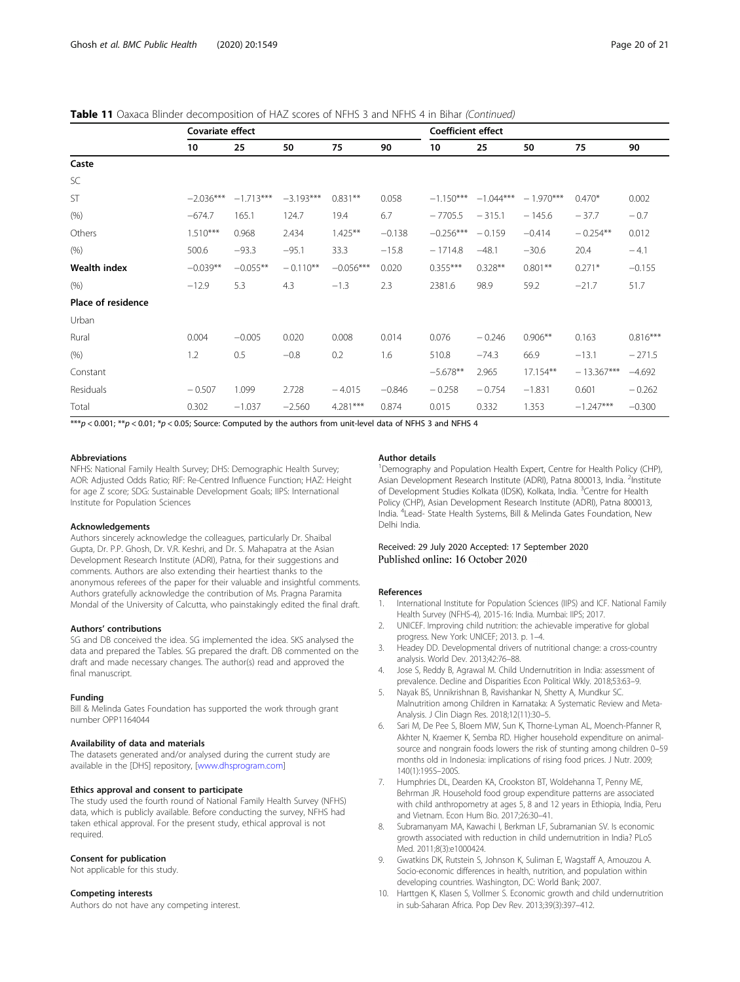<span id="page-19-0"></span>**Table 11** Oaxaca Blinder decomposition of HAZ scores of NFHS 3 and NFHS 4 in Bihar (Continued)

|                     | <b>If you're plinted accomposition of this scores of twind 3 and twind in binar (commaca)</b><br>Covariate effect<br>75<br>10<br>25<br>50<br>$-3.193***$<br>$0.831***$<br>$-2.036***$<br>$-1.713***$<br>$-674.7$<br>124.7<br>165.1<br>19.4<br>$1.510***$<br>$1.425***$<br>0.968<br>2.434<br>500.6<br>$-93.3$<br>$-95.1$<br>33.3<br>$-0.055**$<br>$-0.110**$<br>$-0.056***$<br>$-0.039**$ |          |          |            | <b>Coefficient effect</b> |             |             |             |              |            |
|---------------------|------------------------------------------------------------------------------------------------------------------------------------------------------------------------------------------------------------------------------------------------------------------------------------------------------------------------------------------------------------------------------------------|----------|----------|------------|---------------------------|-------------|-------------|-------------|--------------|------------|
|                     |                                                                                                                                                                                                                                                                                                                                                                                          |          |          |            | 90                        | 10          | 25          | 50          | 75           | 90         |
| Caste               |                                                                                                                                                                                                                                                                                                                                                                                          |          |          |            |                           |             |             |             |              |            |
| SC                  |                                                                                                                                                                                                                                                                                                                                                                                          |          |          |            |                           |             |             |             |              |            |
| <b>ST</b>           |                                                                                                                                                                                                                                                                                                                                                                                          |          |          |            | 0.058                     | $-1.150***$ | $-1.044***$ | $-1.970***$ | $0.470*$     | 0.002      |
| (% )                |                                                                                                                                                                                                                                                                                                                                                                                          |          |          |            | 6.7                       | $-7705.5$   | $-315.1$    | $-145.6$    | $-37.7$      | $-0.7$     |
| Others              |                                                                                                                                                                                                                                                                                                                                                                                          |          |          |            | $-0.138$                  | $-0.256***$ | $-0.159$    | $-0.414$    | $-0.254**$   | 0.012      |
| (% )                |                                                                                                                                                                                                                                                                                                                                                                                          |          |          |            | $-15.8$                   | $-1714.8$   | $-48.1$     | $-30.6$     | 20.4         | $-4.1$     |
| <b>Wealth index</b> |                                                                                                                                                                                                                                                                                                                                                                                          |          |          |            | 0.020                     | $0.355***$  | $0.328**$   | $0.801***$  | $0.271*$     | $-0.155$   |
| (% )                | $-12.9$                                                                                                                                                                                                                                                                                                                                                                                  | 5.3      | 4.3      | $-1.3$     | 2.3                       | 2381.6      | 98.9        | 59.2        | $-21.7$      | 51.7       |
| Place of residence  |                                                                                                                                                                                                                                                                                                                                                                                          |          |          |            |                           |             |             |             |              |            |
| Urban               |                                                                                                                                                                                                                                                                                                                                                                                          |          |          |            |                           |             |             |             |              |            |
| Rural               | 0.004                                                                                                                                                                                                                                                                                                                                                                                    | $-0.005$ | 0.020    | 0.008      | 0.014                     | 0.076       | $-0.246$    | $0.906**$   | 0.163        | $0.816***$ |
| (% )                | 1.2                                                                                                                                                                                                                                                                                                                                                                                      | 0.5      | $-0.8$   | 0.2        | 1.6                       | 510.8       | $-74.3$     | 66.9        | $-13.1$      | $-271.5$   |
| Constant            |                                                                                                                                                                                                                                                                                                                                                                                          |          |          |            |                           | $-5.678**$  | 2.965       | $17.154***$ | $-13.367***$ | $-4.692$   |
| Residuals           | $-0.507$                                                                                                                                                                                                                                                                                                                                                                                 | 1.099    | 2.728    | $-4.015$   | $-0.846$                  | $-0.258$    | $-0.754$    | $-1.831$    | 0.601        | $-0.262$   |
| Total               | 0.302                                                                                                                                                                                                                                                                                                                                                                                    | $-1.037$ | $-2.560$ | $4.281***$ | 0.874                     | 0.015       | 0.332       | 1.353       | $-1.247***$  | $-0.300$   |

\*\*\*p < 0.001; \*\*p < 0.01; \*p < 0.05; Source: Computed by the authors from unit-level data of NFHS 3 and NFHS 4

#### Abbreviations

NFHS: National Family Health Survey; DHS: Demographic Health Survey; AOR: Adjusted Odds Ratio; RIF: Re-Centred Influence Function; HAZ: Height for age Z score; SDG: Sustainable Development Goals; IIPS: International Institute for Population Sciences

### Acknowledgements

Authors sincerely acknowledge the colleagues, particularly Dr. Shaibal Gupta, Dr. P.P. Ghosh, Dr. V.R. Keshri, and Dr. S. Mahapatra at the Asian Development Research Institute (ADRI), Patna, for their suggestions and comments. Authors are also extending their heartiest thanks to the anonymous referees of the paper for their valuable and insightful comments. Authors gratefully acknowledge the contribution of Ms. Pragna Paramita Mondal of the University of Calcutta, who painstakingly edited the final draft.

#### Authors' contributions

SG and DB conceived the idea. SG implemented the idea. SKS analysed the data and prepared the Tables. SG prepared the draft. DB commented on the draft and made necessary changes. The author(s) read and approved the final manuscript.

#### Funding

Bill & Melinda Gates Foundation has supported the work through grant number OPP1164044

# Availability of data and materials

The datasets generated and/or analysed during the current study are available in the [DHS] repository, [\[www.dhsprogram.com\]](http://www.dhsprogram.com)

# Ethics approval and consent to participate

The study used the fourth round of National Family Health Survey (NFHS) data, which is publicly available. Before conducting the survey, NFHS had taken ethical approval. For the present study, ethical approval is not required.

#### Consent for publication

Not applicable for this study.

# Competing interests

Authors do not have any competing interest.

#### Author details

<sup>1</sup>Demography and Population Health Expert, Centre for Health Policy (CHP) Asian Development Research Institute (ADRI), Patna 800013, India. <sup>2</sup>Institute of Development Studies Kolkata (IDSK), Kolkata, India. <sup>3</sup>Centre for Health Policy (CHP), Asian Development Research Institute (ADRI), Patna 800013, India. <sup>4</sup> Lead- State Health Systems, Bill & Melinda Gates Foundation, New Delhi India.

# Received: 29 July 2020 Accepted: 17 September 2020 Published online: 16 October 2020

#### References

- 1. International Institute for Population Sciences (IIPS) and ICF. National Family Health Survey (NFHS-4), 2015-16: India. Mumbai: IIPS; 2017.
- 2. UNICEF. Improving child nutrition: the achievable imperative for global progress. New York: UNICEF; 2013. p. 1–4.
- 3. Headey DD. Developmental drivers of nutritional change: a cross-country analysis. World Dev. 2013;42:76–88.
- 4. Jose S, Reddy B, Agrawal M. Child Undernutrition in India: assessment of prevalence. Decline and Disparities Econ Political Wkly. 2018;53:63–9.
- 5. Nayak BS, Unnikrishnan B, Ravishankar N, Shetty A, Mundkur SC. Malnutrition among Children in Karnataka: A Systematic Review and Meta-Analysis. J Clin Diagn Res. 2018;12(11):30–5.
- 6. Sari M, De Pee S, Bloem MW, Sun K, Thorne-Lyman AL, Moench-Pfanner R, Akhter N, Kraemer K, Semba RD. Higher household expenditure on animalsource and nongrain foods lowers the risk of stunting among children 0–59 months old in Indonesia: implications of rising food prices. J Nutr. 2009; 140(1):195S–200S.
- 7. Humphries DL, Dearden KA, Crookston BT, Woldehanna T, Penny ME, Behrman JR. Household food group expenditure patterns are associated with child anthropometry at ages 5, 8 and 12 years in Ethiopia, India, Peru and Vietnam. Econ Hum Bio. 2017;26:30–41.
- 8. Subramanyam MA, Kawachi I, Berkman LF, Subramanian SV. Is economic growth associated with reduction in child undernutrition in India? PLoS Med. 2011;8(3):e1000424.
- 9. Gwatkins DK, Rutstein S, Johnson K, Suliman E, Wagstaff A, Amouzou A. Socio-economic differences in health, nutrition, and population within developing countries. Washington, DC: World Bank; 2007.
- 10. Harttgen K, Klasen S, Vollmer S. Economic growth and child undernutrition in sub-Saharan Africa. Pop Dev Rev. 2013;39(3):397–412.